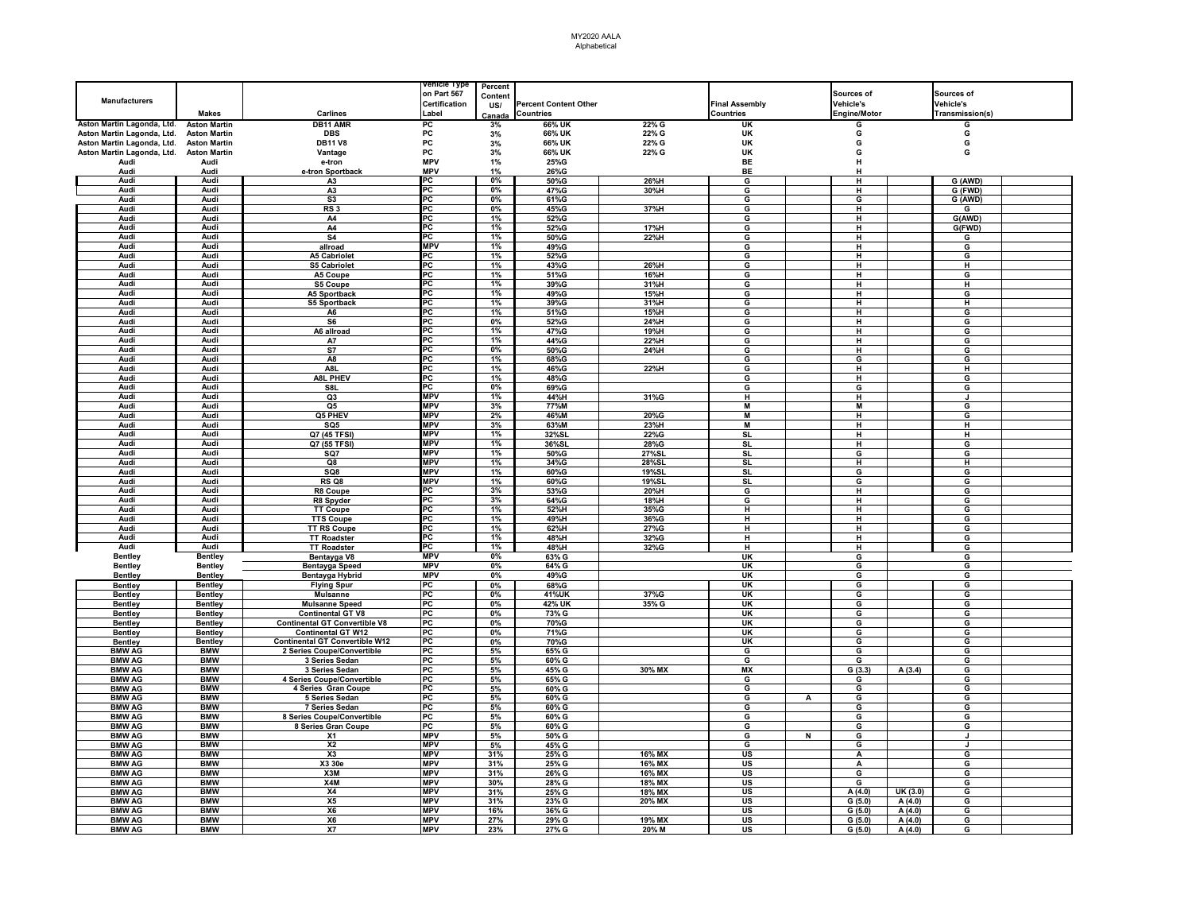## MY2020 AALA Alphabetical

|                                         |                     |                                       | renicie Type         | Percent |                              |        |                                   |                |                     |         |                 |  |
|-----------------------------------------|---------------------|---------------------------------------|----------------------|---------|------------------------------|--------|-----------------------------------|----------------|---------------------|---------|-----------------|--|
|                                         |                     |                                       | on Part 567          | Content |                              |        |                                   |                | Sources of          |         | Sources of      |  |
| <b>Manufacturers</b>                    |                     |                                       | <b>Certification</b> | US/     | <b>Percent Content Other</b> |        | <b>Final Assembly</b>             |                | <b>Vehicle's</b>    |         | Vehicle's       |  |
|                                         | <b>Makes</b>        | <b>Carlines</b>                       | Label                | Canada  | <b>Countries</b>             |        | Countries                         |                | <b>Engine/Motor</b> |         | Transmission(s) |  |
| Aston Martin Lagonda, Ltd. Aston Martin |                     | <b>DB11 AMR</b>                       | PC                   | 3%      | 66% UK                       | 22% G  | UK                                |                | G                   |         | G               |  |
| Aston Martin Lagonda, Ltd.              | <b>Aston Martin</b> | <b>DBS</b>                            | PC                   | 3%      | 66% UK                       | 22% G  | <b>UK</b>                         |                | G                   |         | G               |  |
| Aston Martin Lagonda, Ltd.              | <b>Aston Martin</b> | <b>DB11 V8</b>                        | PC                   | 3%      | 66% UK                       | 22% G  | UK                                |                | G                   |         | G               |  |
| Aston Martin Lagonda, Ltd.              | <b>Aston Martin</b> | Vantage                               | PC                   | 3%      | 66% UK                       | 22% G  | UK                                |                | G                   |         | G               |  |
| Audi                                    | Audi                | e-tron                                | <b>MPV</b>           | 1%      | 25%G                         |        | <b>BE</b>                         |                | н                   |         |                 |  |
| Audi                                    | Audi                | e-tron Sportback                      | <b>MPV</b>           | 1%      | 26%G                         |        | <b>BE</b>                         |                | н                   |         |                 |  |
| Audi                                    | Audi                | A3                                    | PC                   | 0%      | 50%G                         | 26%H   | G                                 |                | н                   |         | G (AWD)         |  |
| Audi                                    | Audi                | A <sub>3</sub>                        | PC                   | 0%      | 47%G                         | 30%H   | G                                 |                | н                   |         | G (FWD)         |  |
| Audi                                    | Audi                | S3                                    | PC                   | 0%      | 61%G                         |        | G                                 |                | G                   |         | G (AWD)         |  |
| Audi                                    | Audi                | RS <sub>3</sub>                       | PC                   | 0%      | 45%G                         | 37%H   | G                                 |                | н                   |         | G               |  |
| Audi                                    | Audi                | A4                                    | PC                   | 1%      | 52%G                         |        | G                                 |                | н                   |         | G(AWD)          |  |
| Audi                                    | Audi                | A4                                    | PC                   | 1%      | 52%G                         | 17%H   | G                                 |                | н                   |         | G(FWD)          |  |
| Audi                                    | Audi                | S <sub>4</sub>                        | PC                   | 1%      | 50%G                         | 22%H   | G                                 |                | н                   |         | G               |  |
| Audi                                    | Audi                | allroad                               | <b>MPV</b>           | 1%      | 49%G                         |        | G                                 |                | н                   |         | G               |  |
| Audi                                    | Audi                | <b>A5 Cabriolet</b>                   | PC                   | 1%      | 52%G                         |        | G                                 |                | н                   |         | G               |  |
| Audi                                    | Audi                | S5 Cabriolet                          | PC                   | 1%      | 43%G                         | 26%H   | G                                 |                | π                   |         | $\overline{H}$  |  |
| Audi                                    | Audi                | A5 Coupe                              | PC                   | 1%      | 51%G                         | 16%H   | G                                 |                | Ξ                   |         | G               |  |
| Audi                                    | Audi                | S5 Coupe                              | PC                   | 1%      | 39%G                         | 31%H   | G                                 |                | н                   |         | н               |  |
| Audi                                    | <b>Audi</b>         | A5 Sportback                          | PC                   | 1%      | 49%G                         | 15%H   | G                                 |                | Ή                   |         | G               |  |
| Audi                                    | Audi                | <b>S5 Sportback</b>                   | PC                   | 1%      | 39%G                         | 31%H   | G                                 |                | н                   |         | н               |  |
| Audi                                    | Audi                | A6                                    | PC                   | 1%      | 51%G                         | 15%H   | G                                 |                | н                   |         | G               |  |
| Audi                                    | Audi                | S6                                    | PC                   | 0%      | 52%G                         | 24%H   | G                                 |                | н                   |         | G               |  |
| Audi                                    | Audi                | A6 allroad                            | PC                   | 1%      | 47%G                         | 19%H   | G                                 |                | н                   |         | G               |  |
| Audi                                    | Audi                | <b>A7</b>                             | PC                   | 1%      | 44%G                         | 22%H   | G                                 |                | н                   |         | G               |  |
| Audi                                    | Audi                | S7                                    | PC                   | 0%      | 50%G                         | 24%H   | G                                 |                | н                   |         | G               |  |
| Audi                                    | Audi                | A8                                    | <b>PC</b>            | 1%      | 68%G                         |        | G                                 |                | G                   |         | G               |  |
| Audi                                    | Audi                | A <sub>8L</sub>                       | PC                   | 1%      | 46%G                         | 22%H   | G                                 |                | Ή                   |         | н               |  |
| Audi                                    | Audi                | <b>A8L PHEV</b>                       | PC                   | 1%      | 48%G                         |        | G                                 |                | н                   |         | G               |  |
| Audi                                    | Audi                | S8L                                   | PC                   | 0%      | 69%G                         |        | G                                 |                | G                   |         | G               |  |
| Audi                                    | Audi                | Q3                                    | <b>MPV</b>           | 1%      | 44%H                         | 31%G   | н                                 |                | н                   |         | J               |  |
| Audi                                    | Audi                | Q5                                    | <b>MPV</b>           | 3%      | 77%M                         |        | M                                 |                | M                   |         | G               |  |
| Audi                                    | Audi                | Q5 PHEV                               | <b>MPV</b>           | 2%      | 46%M                         | 20%G   | M                                 |                | н                   |         | G               |  |
| Audi                                    | Audi                | SQ5                                   | <b>MPV</b>           | 3%      | 63%M                         | 23%H   | М                                 |                | н                   |         | н               |  |
| Audi                                    | Audi                | Q7 (45 TFSI)                          | <b>MPV</b>           | 1%      | 32%SL                        | 22%G   | <b>SL</b>                         |                | н                   |         | н               |  |
| Audi                                    | Audi                | Q7 (55 TFSI)                          | <b>MPV</b>           | 1%      | 36%SL                        | 28%G   | SL                                |                | н                   |         | G               |  |
| Audi                                    | Audi                | SG7                                   | <b>MPV</b>           | 1%      | 50%G                         | 27%SL  | SL                                |                | G                   |         | G               |  |
| Audi                                    | Audi                | Q8                                    | <b>MPV</b>           | 1%      | 34%G                         | 28%SL  | <b>SL</b>                         |                | н                   |         | H               |  |
| Audi                                    | Audi                | SQ8                                   | <b>MPV</b>           | 1%      | 60%G                         | 19%SL  | <b>SL</b>                         |                | G                   |         | G               |  |
| Audi                                    | Audi                | RS Q8                                 | <b>MPV</b>           | 1%      | 60%G                         | 19%SL  | SL                                |                | G                   |         | G               |  |
| Audi                                    | Audi                | R8 Coupe                              | PC                   | 3%      | 53%G                         | 20%H   | G                                 |                | н                   |         | G               |  |
| Audi                                    | Audi                | R8 Spyder                             | PC                   | 3%      | 64%G                         | 18%H   | G                                 |                | Ή                   |         | G               |  |
| Audi                                    | Audi                | <b>TT Coupe</b>                       | PC                   | 1%      | 52%H                         | 35%G   | H                                 |                | н                   |         | G               |  |
| Audi                                    | Audi                | <b>TTS Coupe</b>                      | PC                   | 1%      | 49%H                         | 36%G   | н                                 |                | н                   |         | G               |  |
| Audi                                    | Audi                | <b>TT RS Coupe</b>                    | PC                   | 1%      | 62%H                         | 27%G   | Ή                                 |                | Ή                   |         | G               |  |
| Audi                                    | Audi                | <b>TT Roadster</b>                    | PC                   | 1%      | 48%H                         | 32%G   | н                                 |                | н                   |         | G               |  |
| Audi                                    | Audi                | <b>TT Roadster</b>                    | PC                   | 1%      | 48%H                         | 32%G   | н                                 |                | н                   |         | G               |  |
| <b>Bentley</b>                          | <b>Bentley</b>      | Bentayga V8                           | <b>MPV</b>           | 0%      | 63% G                        |        | UK                                |                | G                   |         | G               |  |
| <b>Bentley</b>                          | <b>Bentley</b>      | <b>Bentayga Speed</b>                 | <b>MPV</b>           | 0%      | 64% G                        |        | <b>UK</b>                         |                | G                   |         | G               |  |
| <b>Bentley</b>                          | <b>Bentley</b>      | Bentayga Hybrid                       | <b>MPV</b>           | 0%      | 49%G                         |        | UK                                |                | G                   |         | G               |  |
| <b>Bentley</b>                          | <b>Bentley</b>      | <b>Flying Spur</b>                    | PC                   | 0%      | 68%G                         |        | UK                                |                | G                   |         | G               |  |
| <b>Bentley</b>                          | <b>Bentley</b>      | <b>Mulsanne</b>                       | PC                   | $0\%$   | 41%UK                        | 37%G   | UK                                |                | G                   |         | G               |  |
| <b>Bentley</b>                          | <b>Bentley</b>      | <b>Mulsanne Speed</b>                 | PC                   | 0%      | 42% UK                       | 35% G  | UK                                |                | G                   |         | G               |  |
| Bentley                                 | <b>Bentley</b>      | <b>Continental GT V8</b>              | PC                   | 0%      | 73% G                        |        | UK                                |                | G                   |         | G               |  |
| <b>Bentley</b>                          | <b>Bentley</b>      | <b>Continental GT Convertible V8</b>  | PC                   | 0%      | 70%G                         |        | UK                                |                | G                   |         | G               |  |
| <b>Bentley</b>                          | <b>Bentley</b>      | <b>Continental GT W12</b>             | PC                   | $0\%$   | 71%G                         |        | UK                                |                | G                   |         | G               |  |
| <b>Bentley</b>                          | <b>Bentley</b>      | <b>Continental GT Convertible W12</b> | PC                   | 0%      | 70%G                         |        | UK                                |                | G                   |         | G               |  |
| <b>BMW AG</b>                           | <b>BMW</b>          | 2 Series Coupe/Convertible            | PC                   | 5%      | 65% G                        |        | G                                 |                | G                   |         | G               |  |
| <b>BMW AG</b>                           | <b>BMW</b>          | 3 Series Sedan                        | PC                   | 5%      | 60% G                        |        | G                                 |                | G                   |         | G               |  |
| <b>BMW AG</b>                           | <b>BMW</b>          | 3 Series Sedan                        | PC                   | 5%      | 45% G                        | 30% MX | MX                                |                | G(3.3)              | A(3.4)  | G               |  |
| <b>BMW AG</b>                           | <b>BMW</b>          | 4 Series Coupe/Convertible            | PC                   | 5%      | 65% G                        |        | G                                 |                | G                   |         | G               |  |
| <b>BMW AG</b>                           | <b>BMW</b>          | 4 Series Gran Coupe                   | <b>IPC</b>           | 5%      | 60% G                        |        | G                                 |                | G                   |         | G               |  |
| <b>BMW AG</b>                           | <b>BMW</b>          | 5 Series Sedan                        | PC                   | 5%      | 60% G                        |        | G                                 | A              | G                   |         | G               |  |
| <b>BMW AG</b>                           | <b>BMW</b>          | <b>7 Series Sedan</b>                 | PC                   | 5%      | 60% G                        |        | G                                 |                | G                   |         | G               |  |
| <b>BMW AG</b>                           | <b>BMW</b>          | 8 Series Coupe/Convertible            | PC                   | 5%      | 60% G                        |        | G                                 |                | G                   |         | G               |  |
| <b>BMW AG</b>                           | <b>BMW</b>          | 8 Series Gran Coupe                   | PC                   | 5%      | 60% G                        |        | G                                 |                | G                   |         | G               |  |
| <b>BMW AG</b>                           | <b>BMW</b>          | <b>X1</b>                             | <b>MPV</b>           | 5%      | 50% G                        |        | G                                 | $\overline{N}$ | G                   |         | J               |  |
| <b>BMW AG</b>                           | <b>BMW</b>          | X <sub>2</sub>                        | <b>MPV</b>           | 5%      | 45% G                        |        | G                                 |                | G                   |         |                 |  |
| <b>BMW AG</b>                           | <b>BMW</b>          | X3                                    | <b>MPV</b>           | 31%     | 25% G                        | 16% MX | US                                |                | А                   |         | G               |  |
| <b>BMW AG</b>                           | <b>BMW</b>          | X3 30e                                | <b>MPV</b>           | 31%     | 25% G                        | 16% MX | <b>US</b>                         |                | A                   |         | G               |  |
| <b>BMW AG</b>                           | <b>BMW</b>          | X3M                                   | <b>MPV</b>           | 31%     | 26% G                        | 16% MX | <b>US</b>                         |                | G                   |         | G               |  |
| <b>BMW AG</b>                           | <b>BMW</b>          | X4M                                   | <b>MPV</b>           | 30%     | 28% G                        | 18% MX | US                                |                | G                   |         | G               |  |
| <b>BMW AG</b>                           | <b>BMW</b>          | <b>X4</b>                             | <b>MPV</b>           | 31%     | 25% G                        | 18% MX | US                                |                | A(4.0)              | UK(3.0) | G               |  |
| <b>BMW AG</b>                           | <b>BMW</b>          | X5                                    | <b>MPV</b>           | 31%     | 23% G                        | 20% MX | <b>US</b>                         |                | G(5.0)              | A(4.0)  | G               |  |
| <b>BMW AG</b>                           | <b>BMW</b>          | X6                                    | <b>MPV</b>           | 16%     | 36% G                        |        | <b>US</b>                         |                | G(5.0)              | A(4.0)  | G               |  |
| <b>BMW AG</b>                           | <b>BMW</b>          | X6                                    | <b>MPV</b>           | 27%     | 29% G                        | 19% MX | US                                |                | G(5.0)              | A (4.0) | G               |  |
| <b>BMW AG</b>                           | <b>BMW</b>          | $\overline{X}$                        | <b>MPV</b>           | 23%     | 27% G                        | 20% M  | $\overline{\mathsf{u}\mathsf{s}}$ |                | G(5.0)              | A(4.0)  | G               |  |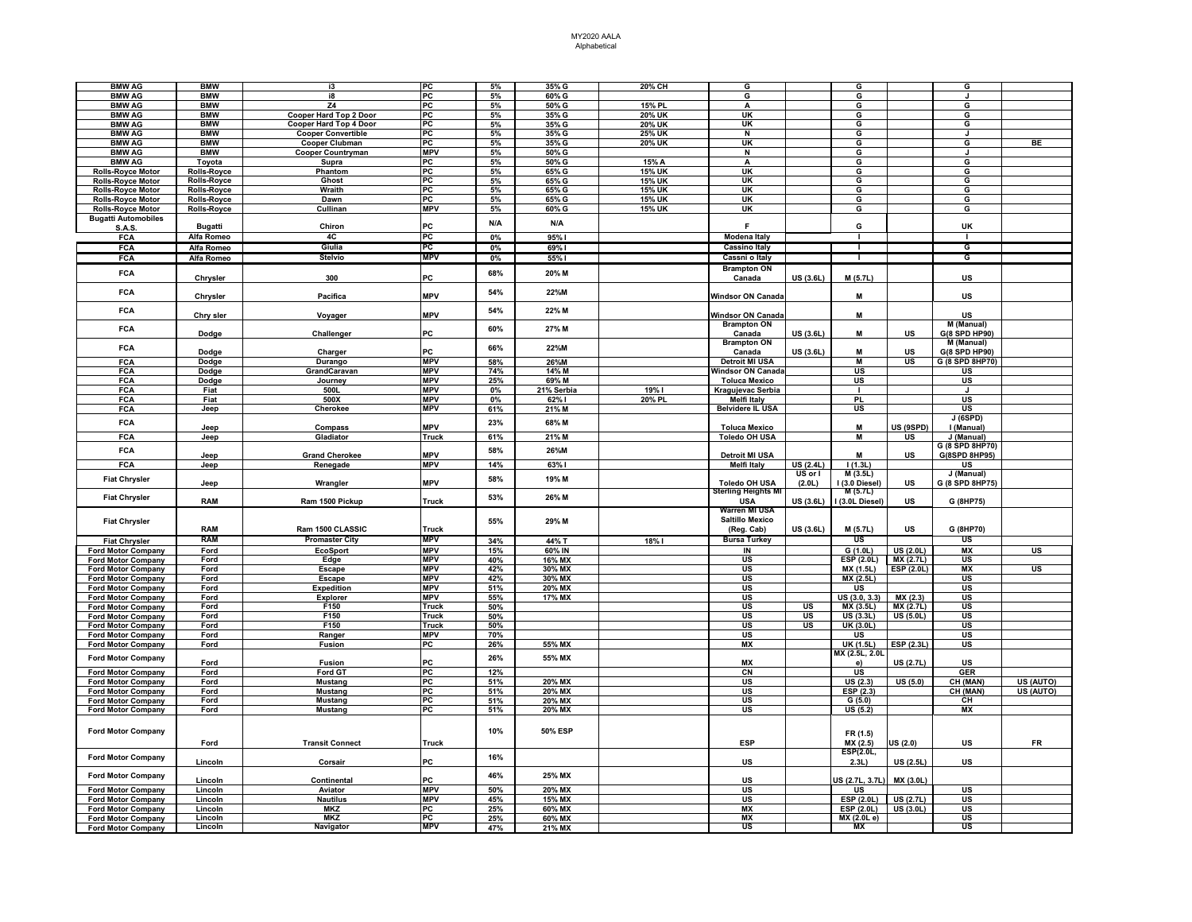| <b>BMW AG</b>                                          | <b>BMW</b>         | i3                            | PC           | 5%    | 35% G      | 20% CH        | G                          |           | G                         |                   | G               |                                   |
|--------------------------------------------------------|--------------------|-------------------------------|--------------|-------|------------|---------------|----------------------------|-----------|---------------------------|-------------------|-----------------|-----------------------------------|
| <b>BMW AG</b>                                          | <b>BMW</b>         | i8                            | PC           | 5%    | 60% G      |               | G                          |           | G                         |                   |                 |                                   |
| <b>BMW AG</b>                                          | <b>BMW</b>         | Z4                            | PC           | 5%    | 50% G      | <b>15% PL</b> | Α                          |           | G                         |                   | G               |                                   |
| <b>BMW AG</b>                                          | <b>BMW</b>         | <b>Cooper Hard Top 2 Door</b> | PC           | 5%    | 35% G      | <b>20% UK</b> | <b>UK</b>                  |           | G                         |                   | G               |                                   |
| <b>BMW AG</b>                                          | <b>BMW</b>         | Cooper Hard Top 4 Door        | PC           | 5%    | 35% G      | 20% UK        | UK                         |           | G                         |                   | G               |                                   |
| <b>BMW AG</b>                                          | <b>BMW</b>         | <b>Cooper Convertible</b>     | PC           | 5%    | 35% G      | 25% UK        | N                          |           | G                         |                   | $\mathbf{J}$    |                                   |
| <b>BMW AG</b>                                          | <b>BMW</b>         | Cooper Clubman                | PC           | 5%    | 35% G      | 20% UK        | UK                         |           | G                         |                   | G               | <b>BE</b>                         |
| <b>BMW AG</b>                                          | <b>BMW</b>         | <b>Cooper Countryman</b>      | <b>MPV</b>   | 5%    | 50% G      |               | N                          |           | G                         |                   | J               |                                   |
| <b>BMW AG</b>                                          | Toyota             | Supra                         | PC           | 5%    | 50% G      | 15% A         | А                          |           | G                         |                   | G               |                                   |
| <b>Rolls-Royce Motor</b>                               | Rolls-Royce        | Phantom                       | PC           | 5%    | 65% G      | 15% UK        | UK                         |           | G                         |                   | G               |                                   |
| <b>Rolls-Royce Motor</b>                               | <b>Rolls-Royce</b> | Ghost                         | PC           | 5%    | 65% G      | <b>15% UK</b> | UK                         |           | G                         |                   | G               |                                   |
| <b>Rolls-Royce Motor</b>                               | <b>Rolls-Royce</b> | Wraith                        | PC           | 5%    | 65% G      | 15% UK        | UK                         |           | G                         |                   | G               |                                   |
| <b>Rolls-Royce Motor</b>                               | Rolls-Royce        | Dawn                          | PC           | 5%    | 65% G      | 15% UK        | $\overline{\mathsf{H}}$    |           | G                         |                   | G               |                                   |
| <b>Rolls-Royce Motor</b>                               | <b>Rolls-Royce</b> | Cullinan                      | <b>MPV</b>   | 5%    | 60% G      | <b>15% UK</b> | UK                         |           | G                         |                   | G               |                                   |
| <b>Bugatti Automobiles</b>                             |                    |                               |              |       |            |               |                            |           |                           |                   |                 |                                   |
| <b>S.A.S.</b>                                          | <b>Bugatti</b>     | Chiron                        | PC           | N/A   | N/A        |               | F                          |           | G                         |                   | UK              |                                   |
| FCA                                                    | Alfa Romeo         | 4C                            | PC           | 0%    | 95%1       |               | <b>Modena Italy</b>        |           |                           |                   | т               |                                   |
| <b>FCA</b>                                             | Alfa Romeo         | Giulia                        | PC           | 0%    | 69%1       |               | <b>Cassino Italy</b>       |           |                           |                   | G               |                                   |
| <b>FCA</b>                                             | Alfa Romeo         | <b>Stelvio</b>                | <b>MPV</b>   | 0%    | 55% l      |               | Cassni o Italy             |           |                           |                   | ढ               |                                   |
|                                                        |                    |                               |              |       |            |               | <b>Brampton ON</b>         |           |                           |                   |                 |                                   |
| FCA                                                    |                    |                               |              | 68%   | 20% M      |               |                            |           |                           |                   |                 |                                   |
|                                                        | Chrysler           | 300                           | PC           |       |            |               | Canada                     | US (3.6L) | M (5.7L)                  |                   | US              |                                   |
| <b>FCA</b>                                             |                    |                               |              | 54%   | 22%M       |               |                            |           |                           |                   |                 |                                   |
|                                                        | Chrysler           | Pacifica                      | <b>MPV</b>   |       |            |               | <b>Windsor ON Canada</b>   |           | M                         |                   | US              |                                   |
| <b>FCA</b>                                             |                    |                               |              | 54%   | 22% M      |               |                            |           |                           |                   |                 |                                   |
|                                                        | Chry sler          | Voyager                       | <b>MPV</b>   |       |            |               | <b>Windsor ON Canada</b>   |           | M                         |                   | US              |                                   |
| <b>FCA</b>                                             |                    |                               |              | 60%   | 27% M      |               | <b>Brampton ON</b>         |           |                           |                   | M (Manual)      |                                   |
|                                                        | Dodge              | Challenger                    | PC           |       |            |               | Canada                     | US (3.6L) | M                         | <b>US</b>         | G(8 SPD HP90)   |                                   |
| <b>FCA</b>                                             |                    |                               |              | 66%   | 22%M       |               | <b>Brampton ON</b>         |           |                           |                   | M (Manual)      |                                   |
|                                                        | Dodge              | Charger                       | PC           |       |            |               | Canada                     | US (3.6L) | M                         | <b>US</b>         | G(8 SPD HP90)   |                                   |
| <b>FCA</b>                                             | Dodge              | Durango                       | <b>MPV</b>   | 58%   | 26%M       |               | <b>Detroit MI USA</b>      |           | $\blacksquare$            | <b>US</b>         | G (8 SPD 8HP70) |                                   |
| FCA                                                    | Dodge              | GrandCaravan                  | <b>MPV</b>   | 74%   | 14% M      |               | Windsor ON Canada          |           | <b>US</b>                 |                   | US              |                                   |
| <b>FCA</b>                                             | Dodge              | Journey                       | <b>MPV</b>   | 25%   | 69% M      |               | <b>Toluca Mexico</b>       |           | <b>US</b>                 |                   | <b>US</b>       |                                   |
| <b>FCA</b>                                             | Fiat               | 500L                          | <b>MPV</b>   | 0%    | 21% Serbia | 19% I         | Kragujevac Serbia          |           |                           |                   | $\mathbf{J}$    |                                   |
| <b>FCA</b>                                             | Fiat               | 500X                          | <b>MPV</b>   | $0\%$ | 62% I      | 20% PL        | Melfi Italy                |           | PL                        |                   | US              |                                   |
| FCA                                                    | Jeep               | Cherokee                      | <b>MPV</b>   | 61%   | 21% M      |               | <b>Belvidere IL USA</b>    |           | $\overline{\mathsf{u}}$ s |                   | US              |                                   |
|                                                        |                    |                               |              | 23%   |            |               |                            |           |                           |                   | J(6SPD)         |                                   |
| <b>FCA</b>                                             | Jeep               | Compass                       | <b>MPV</b>   |       | 68% M      |               | <b>Toluca Mexico</b>       |           | M                         | US (9SPD)         | I (Manual)      |                                   |
| FCA                                                    | Jeep               | Gladiator                     | Truck        | 61%   | 21% M      |               | <b>Toledo OH USA</b>       |           | M                         | <b>US</b>         | J (Manual)      |                                   |
|                                                        |                    |                               |              |       |            |               |                            |           |                           |                   | G (8 SPD 8HP70) |                                   |
| <b>FCA</b>                                             | Jeep               | <b>Grand Cherokee</b>         | <b>MPV</b>   | 58%   | 26%M       |               | <b>Detroit MI USA</b>      |           | М                         | US                | G(8SPD 8HP95)   |                                   |
| FCA                                                    | Jeep               | Renegade                      | <b>MPV</b>   | 14%   | 63%1       |               | <b>Melfi Italy</b>         | US(2.4L)  | 1(1.3L)                   |                   | <b>US</b>       |                                   |
|                                                        |                    |                               |              |       |            |               |                            | US or I   | M(3.5L)                   |                   | J (Manual)      |                                   |
| <b>Fiat Chrysler</b>                                   | Jeep               | Wrangler                      | <b>MPV</b>   | 58%   | 19% M      |               | <b>Toledo OH USA</b>       | (2.0L)    | I (3.0 Diesel)            | US                | G (8 SPD 8HP75) |                                   |
|                                                        |                    |                               |              |       |            |               | <b>Sterling Heights MI</b> |           | M (5.7L)                  |                   |                 |                                   |
| <b>Fiat Chrysler</b>                                   | <b>RAM</b>         | Ram 1500 Pickup               | Truck        | 53%   | 26% M      |               | <b>USA</b>                 | US (3.6L) | I (3.0L Diesel)           | US                | G (8HP75)       |                                   |
|                                                        |                    |                               |              |       |            |               | Warren MI USA              |           |                           |                   |                 |                                   |
| <b>Fiat Chrysler</b>                                   |                    |                               |              | 55%   | 29% M      |               | <b>Saltillo Mexico</b>     |           |                           |                   |                 |                                   |
|                                                        | RAM                | Ram 1500 CLASSIC              | <b>Truck</b> |       |            |               | (Reg. Cab)                 | US (3.6L) | M (5.7L)                  | US                | G (8HP70)       |                                   |
| <b>Fiat Chrysler</b>                                   | <b>RAM</b>         | <b>Promaster City</b>         | <b>MPV</b>   | 34%   | 44% T      | 18%1          | <b>Bursa Turkey</b>        |           | US                        |                   | US              |                                   |
| <b>Ford Motor Company</b>                              | Ford               | <b>EcoSport</b>               | <b>MPV</b>   | 15%   | 60% IN     |               | IN                         |           | G(1.0L)                   | <b>US (2.0L)</b>  | <b>MX</b>       | US                                |
|                                                        |                    |                               | <b>MPV</b>   | 40%   | 16% MX     |               | US                         |           | ESP (2.0L)                | <b>MX (2.7L)</b>  | US              |                                   |
| <b>Ford Motor Company</b>                              | Ford<br>Ford       | Edge                          | <b>MPV</b>   |       | 30% MX     |               | US                         |           | MX (1.5L)                 | <b>ESP (2.0L)</b> | <b>MX</b>       | $\overline{\mathsf{u}\mathsf{s}}$ |
| Ford Motor Company                                     |                    | Escape                        | <b>MPV</b>   | 42%   |            |               |                            |           |                           |                   |                 |                                   |
| <b>Ford Motor Company</b>                              | Ford               | <b>Escape</b>                 | <b>MPV</b>   | 42%   | 30% MX     |               | US                         |           | MX (2.5L)                 |                   | US              |                                   |
| <b>Ford Motor Company</b>                              | Ford               | <b>Expedition</b>             | MPV          | 51%   | 20% MX     |               | US<br>$\overline{u}$ s     |           | US<br>US(3.0, 3.3)        |                   | US              |                                   |
| <b>Ford Motor Company</b>                              | Ford               | <b>Explorer</b>               |              | 55%   | 17% MX     |               |                            | <b>US</b> |                           | MX(2.3)           | US              |                                   |
| <b>Ford Motor Company</b>                              | Ford               | F150                          | <b>Truck</b> | 50%   |            |               | US                         |           | MX (3.5L)                 | <b>MX (2.7L)</b>  | US              |                                   |
| <b>Ford Motor Company</b>                              | Ford               | F150                          | <b>Truck</b> | 50%   |            |               | <b>US</b>                  | US<br>US  | US (3.3L)                 | <b>US (5.0L)</b>  | US<br>US        |                                   |
| <b>Ford Motor Company</b>                              | Ford               | F150                          | Truck        | 50%   |            |               | <b>US</b>                  |           | UK (3.0L)                 |                   |                 |                                   |
| <b>Ford Motor Company</b>                              | Ford               | Ranger                        | <b>MPV</b>   | 70%   |            |               | US                         |           | US                        |                   | US              |                                   |
| <b>Ford Motor Company</b>                              | Ford               | Fusion                        | PC           | 26%   | 55% MX     |               | <b>MX</b>                  |           | <b>UK (1.5L)</b>          | ESP(2.3L)         | US              |                                   |
| <b>Ford Motor Company</b>                              |                    |                               |              | 26%   | 55% MX     |               |                            |           | MX (2.5L, 2.0I            |                   |                 |                                   |
|                                                        | Ford               | <b>Fusion</b>                 | PC           |       |            |               | MX                         |           | e)                        | US (2.7L)         | US              |                                   |
| <b>Ford Motor Company</b>                              | Ford               | Ford GT                       | PC           | 12%   |            |               | C <sub>N</sub>             |           | <b>US</b>                 |                   | GER             |                                   |
| <b>Ford Motor Company</b>                              | Ford               | <b>Mustang</b>                | PC           | 51%   | 20% MX     |               | <b>US</b>                  |           | US(2.3)                   | <b>US (5.0)</b>   | CH (MAN)        | US (AUTO)                         |
| <b>Ford Motor Company</b>                              | Ford               | <b>Mustang</b>                | PC           | 51%   | 20% MX     |               | US                         |           | ESP (2.3)                 |                   | CH (MAN)        | US (AUTO)                         |
| <b>Ford Motor Company</b>                              | Ford               | <b>Mustang</b>                | PC           | 51%   | 20% MX     |               | US                         |           | G(5.0)                    |                   | CH              |                                   |
| <b>Ford Motor Company</b>                              | Ford               | <b>Mustang</b>                | PC           | 51%   | 20% MX     |               | US                         |           | <b>US (5.2)</b>           |                   | <b>MX</b>       |                                   |
|                                                        |                    |                               |              |       |            |               |                            |           |                           |                   |                 |                                   |
| <b>Ford Motor Company</b>                              |                    |                               |              | 10%   | 50% ESP    |               |                            |           | FR (1.5)                  |                   |                 |                                   |
|                                                        | Ford               | <b>Transit Connect</b>        | <b>Truck</b> |       |            |               | <b>ESP</b>                 |           | MX (2.5)                  | US(2.0)           | US              | <b>FR</b>                         |
|                                                        |                    |                               |              |       |            |               |                            |           | ESP(2.0L,                 |                   |                 |                                   |
| <b>Ford Motor Company</b>                              | Lincoln            | Corsair                       | РC           | 16%   |            |               | US                         |           | 2.3L)                     | US (2.5L)         | US              |                                   |
|                                                        |                    |                               |              |       |            |               |                            |           |                           |                   |                 |                                   |
| <b>Ford Motor Company</b>                              | Lincoln            | Continental                   | PC.          | 46%   | 25% MX     |               | US                         |           | JS (2.7L, 3.7L            | MX (3.0L          |                 |                                   |
|                                                        | Lincoln            | Aviator                       | <b>MPV</b>   | 50%   | 20% MX     |               | US                         |           | US                        |                   | US              |                                   |
| <b>Ford Motor Company</b><br><b>Ford Motor Company</b> | Lincoln            | <b>Nautilus</b>               | <b>MPV</b>   | 45%   | 15% MX     |               | <b>US</b>                  |           | ESP(2.0L)                 | US(2.7L)          | <b>US</b>       |                                   |
|                                                        |                    | <b>MKZ</b>                    | РC           | 25%   | 60% MX     |               | MX                         |           | ESP (2.0L)                | <b>US (3.0L)</b>  | US              |                                   |
| <b>Ford Motor Company</b>                              | Lincoln            | <b>MKZ</b>                    | <b>PC</b>    |       |            |               | <b>MX</b>                  |           |                           |                   |                 |                                   |
| <b>Ford Motor Company</b>                              | Lincoln<br>Lincoln | Navigator                     | <b>MPV</b>   | 25%   | 60% MX     |               | US                         |           | MX (2.0L e)<br>МX         |                   | US<br>US        |                                   |
| <b>Ford Motor Company</b>                              |                    |                               |              | 47%   | 21% MX     |               |                            |           |                           |                   |                 |                                   |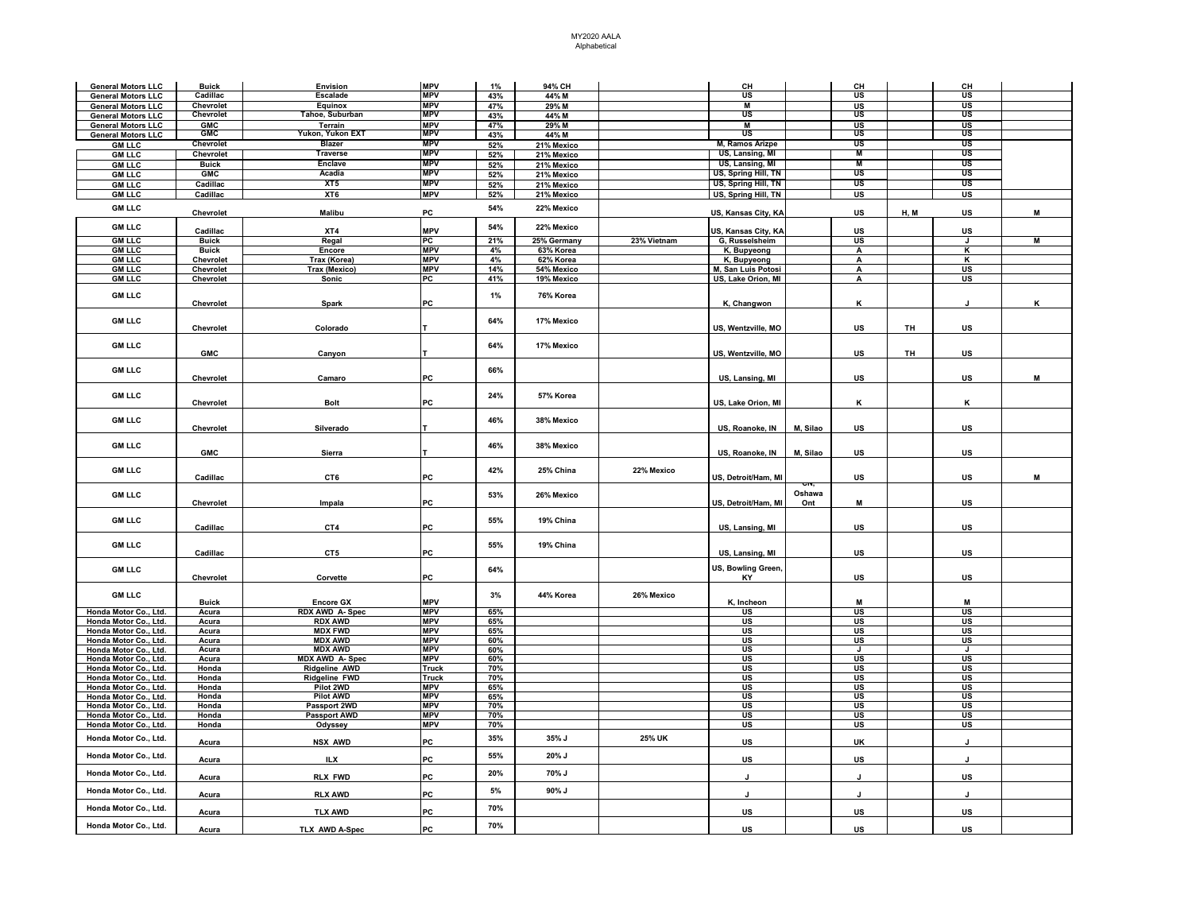| <b>General Motors LLC</b> | <b>Buick</b> | Envision              | <b>MPV</b>               | $1\%$ | 94% CH      |             | CH                        |          | CH                                |      | CH                        |   |
|---------------------------|--------------|-----------------------|--------------------------|-------|-------------|-------------|---------------------------|----------|-----------------------------------|------|---------------------------|---|
| <b>General Motors LLC</b> | Cadillac     | <b>Escalade</b>       | <b>MPV</b>               | 43%   | 44% M       |             | US                        |          | US                                |      | US                        |   |
| <b>General Motors LLC</b> | Chevrolet    | Equinox               | <b>MPV</b>               | 47%   | 29% M       |             | Μ                         |          | $\frac{\text{us}}{\text{us}}$     |      | US                        |   |
| <b>General Motors LLC</b> | Chevrolet    | Tahoe, Suburban       | <b>MPV</b>               | 43%   | 44% M       |             | US                        |          |                                   |      | US                        |   |
| <b>General Motors LLC</b> | <b>GMC</b>   | Terrain               | <b>MPV</b>               | 47%   | 29% M       |             | $\overline{M}$            |          | US                                |      | US                        |   |
| <b>General Motors LLC</b> | <b>GMC</b>   | Yukon, Yukon EXT      | <b>MPV</b>               | 43%   | 44% M       |             | US                        |          | US                                |      | US                        |   |
| <b>GM LLC</b>             | Chevrolet    | <b>Blazer</b>         | <b>MPV</b>               | 52%   | 21% Mexico  |             | M, Ramos Arizpe           |          | US                                |      | US                        |   |
| <b>GM LLC</b>             | Chevrolet    | Traverse              | <b>MPV</b>               | 52%   | 21% Mexico  |             | US, Lansing, MI           |          | M                                 |      | US                        |   |
| <b>GM LLC</b>             | <b>Buick</b> | <b>Enclave</b>        | <b>MPV</b>               | 52%   | 21% Mexico  |             | US, Lansing, MI           |          | М                                 |      | US                        |   |
| <b>GM LLC</b>             | <b>GMC</b>   | Acadia                | <b>MPV</b>               | 52%   | 21% Mexico  |             | US, Spring Hill, TN       |          | US                                |      | US                        |   |
| <b>GM LLC</b>             | Cadillac     | XT5                   | <b>MPV</b>               | 52%   | 21% Mexico  |             | US, Spring Hill, TN       |          | US                                |      | US                        |   |
| <b>GM LLC</b>             | Cadillac     | XT6                   | <b>MPV</b>               | 52%   | 21% Mexico  |             | US, Spring Hill, TN       |          | US                                |      | US                        |   |
| <b>GM LLC</b>             |              |                       |                          | 54%   | 22% Mexico  |             |                           |          |                                   |      |                           |   |
|                           | Chevrolet    | Malibu                | PC                       |       |             |             | US, Kansas City, KA       |          | US                                | H, M | US                        | M |
| <b>GM LLC</b>             |              |                       |                          | 54%   | 22% Mexico  |             |                           |          |                                   |      |                           |   |
|                           | Cadillac     | XT4                   | <b>MPV</b>               |       |             |             | JS, Kansas City, KA       |          | <b>US</b>                         |      | US                        |   |
| <b>GM LLC</b>             | <b>Buick</b> | Regal                 | PC                       | 21%   | 25% Germany | 23% Vietnam | G, Russelsheim            |          | <b>US</b>                         |      | J                         | M |
| <b>GM LLC</b>             | <b>Buick</b> | Encore                | <b>MPV</b>               | 4%    | 63% Korea   |             | K, Bupyeong               |          | A                                 |      | κ                         |   |
| <b>GM LLC</b>             | Chevrolet    | Trax (Korea)          | <b>MPV</b>               | 4%    | 62% Korea   |             | K, Bupyeong               |          | A                                 |      | κ                         |   |
| <b>GM LLC</b>             | Chevrolet    | Trax (Mexico)         | <b>MPV</b>               | 14%   | 54% Mexico  |             | M, San Luis Potosi        |          | $\mathbf{A}$                      |      | $\overline{\mathsf{u}}$ s |   |
| <b>GM LLC</b>             | Chevrolet    | Sonic                 | PC                       | 41%   | 19% Mexico  |             | US, Lake Orion, MI        |          | А                                 |      | <b>US</b>                 |   |
| <b>GM LLC</b>             |              |                       |                          | $1\%$ | 76% Korea   |             |                           |          |                                   |      |                           |   |
|                           | Chevrolet    | Spark                 | PC                       |       |             |             | K, Changwon               |          | к                                 |      |                           | ĸ |
|                           |              |                       |                          |       |             |             |                           |          |                                   |      |                           |   |
| <b>GM LLC</b>             |              |                       |                          | 64%   | 17% Mexico  |             |                           |          |                                   |      |                           |   |
|                           | Chevrolet    | Colorado              |                          |       |             |             | US, Wentzville, MO        |          | US                                | TH   | US                        |   |
|                           |              |                       |                          |       |             |             |                           |          |                                   |      |                           |   |
| <b>GM LLC</b>             | <b>GMC</b>   |                       |                          | 64%   | 17% Mexico  |             | US, Wentzville, MO        |          | US                                | TH   | US                        |   |
|                           |              | Canyon                |                          |       |             |             |                           |          |                                   |      |                           |   |
| <b>GM LLC</b>             |              |                       |                          | 66%   |             |             |                           |          |                                   |      |                           |   |
|                           | Chevrolet    | Camaro                | PC                       |       |             |             | US, Lansing, MI           |          | US                                |      | US                        | M |
|                           |              |                       |                          |       |             |             |                           |          |                                   |      |                           |   |
| <b>GM LLC</b>             |              |                       |                          | 24%   | 57% Korea   |             |                           |          |                                   |      |                           |   |
|                           | Chevrolet    | <b>Bolt</b>           | PC                       |       |             |             | US, Lake Orion, MI        |          | κ                                 |      | ĸ                         |   |
| <b>GM LLC</b>             |              |                       |                          | 46%   | 38% Mexico  |             |                           |          |                                   |      |                           |   |
|                           | Chevrolet    | Silverado             |                          |       |             |             | US, Roanoke, IN           | M, Silao | US                                |      | US                        |   |
|                           |              |                       |                          |       |             |             |                           |          |                                   |      |                           |   |
| <b>GM LLC</b>             |              |                       |                          | 46%   | 38% Mexico  |             |                           |          |                                   |      |                           |   |
|                           | <b>GMC</b>   | Sierra                |                          |       |             |             | US, Roanoke, IN           | M, Silao | US                                |      | US                        |   |
|                           |              |                       |                          |       |             |             |                           |          |                                   |      |                           |   |
| <b>GM LLC</b>             | Cadillac     | CT6                   | PC                       | 42%   | 25% China   | 22% Mexico  | US, Detroit/Ham, MI       |          | US                                |      | US                        | M |
|                           |              |                       |                          |       |             |             |                           |          |                                   |      |                           |   |
| <b>GM LLC</b>             |              |                       |                          | 53%   | 26% Mexico  |             |                           | Oshawa   |                                   |      |                           |   |
|                           | Chevrolet    | Impala                | PC                       |       |             |             | US, Detroit/Ham, MI       | Ont      | M                                 |      | <b>US</b>                 |   |
|                           |              |                       |                          |       |             |             |                           |          |                                   |      |                           |   |
| <b>GM LLC</b>             | Cadillac     | CT4                   | PC                       | 55%   | 19% China   |             | US, Lansing, MI           |          | US                                |      | US                        |   |
|                           |              |                       |                          |       |             |             |                           |          |                                   |      |                           |   |
| <b>GM LLC</b>             |              |                       |                          | 55%   | 19% China   |             |                           |          |                                   |      |                           |   |
|                           | Cadillac     | CT5                   | PC                       |       |             |             | US, Lansing, MI           |          | US                                |      | US                        |   |
|                           |              |                       |                          |       |             |             |                           |          |                                   |      |                           |   |
| <b>GM LLC</b>             |              |                       |                          | 64%   |             |             | US, Bowling Green,        |          |                                   |      |                           |   |
|                           | Chevrolet    | Corvette              | PC                       |       |             |             | KY                        |          | US                                |      | US                        |   |
| <b>GM LLC</b>             |              |                       |                          | 3%    | 44% Korea   | 26% Mexico  |                           |          |                                   |      |                           |   |
|                           | <b>Buick</b> | <b>Encore GX</b>      | <b>MPV</b>               |       |             |             | K, Incheon                |          | M                                 |      | M                         |   |
| Honda Motor Co., Ltd.     | Acura        | <b>RDX AWD A-Spec</b> | <b>MPV</b>               | 65%   |             |             | US                        |          | <b>US</b>                         |      | US                        |   |
| Honda Motor Co., Ltd.     | Acura        | <b>RDX AWD</b>        | <b>MPV</b>               | 65%   |             |             | US                        |          | <b>US</b>                         |      | <b>US</b>                 |   |
| Honda Motor Co., Ltd.     | Acura        | <b>MDX FWD</b>        | <b>MPV</b>               | 65%   |             |             | US                        |          | $\overline{\mathsf{u}\mathsf{s}}$ |      | US                        |   |
| Honda Motor Co., Ltd.     | Acura        | <b>MDX AWD</b>        | <b>MPV</b>               | 60%   |             |             | US                        |          | US                                |      | US                        |   |
| Honda Motor Co., Ltd.     | Acura        | <b>MDX AWD</b>        | <b>MPV</b>               | 60%   |             |             | US                        |          | J                                 |      | J                         |   |
| Honda Motor Co., Ltd.     | Acura        | <b>MDX AWD A-Spec</b> | <b>MPV</b>               | 60%   |             |             | <b>US</b>                 |          | <b>US</b>                         |      | US                        |   |
| Honda Motor Co., Ltd.     | Honda        | <b>Ridgeline AWD</b>  | Truck                    | 70%   |             |             | <b>US</b>                 |          | <b>US</b>                         |      | US                        |   |
| Honda Motor Co., Ltd.     | Honda        | Ridgeline FWD         | Truck                    | 70%   |             |             | US                        |          | US                                |      | US                        |   |
| Honda Motor Co., Ltd.     | Honda        | Pilot 2WD             | <b>MPV</b>               | 65%   |             |             | $\overline{\mathsf{u}}$ s |          | $\overline{\mathsf{u}\mathsf{s}}$ |      | $\overline{u}$ s          |   |
| Honda Motor Co., Ltd.     | Honda        | <b>Pilot AWD</b>      | <b>MPV</b>               | 65%   |             |             | <b>US</b>                 |          | <b>US</b>                         |      | <b>US</b>                 |   |
| Honda Motor Co., Ltd.     | Honda        | Passport 2WD          | <b>MPV</b>               | 70%   |             |             | US                        |          | US                                |      | US                        |   |
| Honda Motor Co., Ltd.     | Honda        | <b>Passport AWD</b>   | <b>MPV</b><br><b>MPV</b> | 70%   |             |             | US                        |          | US                                |      | US                        |   |
| Honda Motor Co., Ltd.     | Honda        | Odyssey               |                          | 70%   |             |             | US                        |          | US                                |      | US                        |   |
| Honda Motor Co., Ltd.     | Acura        | NSX AWD               | PC                       | 35%   | 35% J       | 25% UK      | US                        |          | <b>UK</b>                         |      | J                         |   |
|                           |              |                       |                          |       |             |             |                           |          |                                   |      |                           |   |
| Honda Motor Co., Ltd.     | Acura        | ILX                   | PC                       | 55%   | 20% J       |             | US                        |          | US                                |      | J.                        |   |
|                           |              |                       |                          |       |             |             |                           |          |                                   |      |                           |   |
| Honda Motor Co., Ltd.     | Acura        | <b>RLX FWD</b>        | PC                       | 20%   | 70% J       |             | J                         |          |                                   |      | US                        |   |
| Honda Motor Co., Ltd.     |              |                       |                          | 5%    | 90% J       |             |                           |          |                                   |      |                           |   |
|                           | Acura        | <b>RLX AWD</b>        | PC                       |       |             |             | J                         |          | J.                                |      | J                         |   |
|                           |              |                       |                          | 70%   |             |             |                           |          |                                   |      |                           |   |
| Honda Motor Co., Ltd.     |              |                       |                          |       |             |             |                           |          |                                   |      |                           |   |
|                           | Acura        | <b>TLX AWD</b>        | PC                       |       |             |             | US                        |          | US                                |      | US                        |   |
| Honda Motor Co., Ltd.     | Acura        | TLX AWD A-Spec        | PC                       | 70%   |             |             | US                        |          | US                                |      | US                        |   |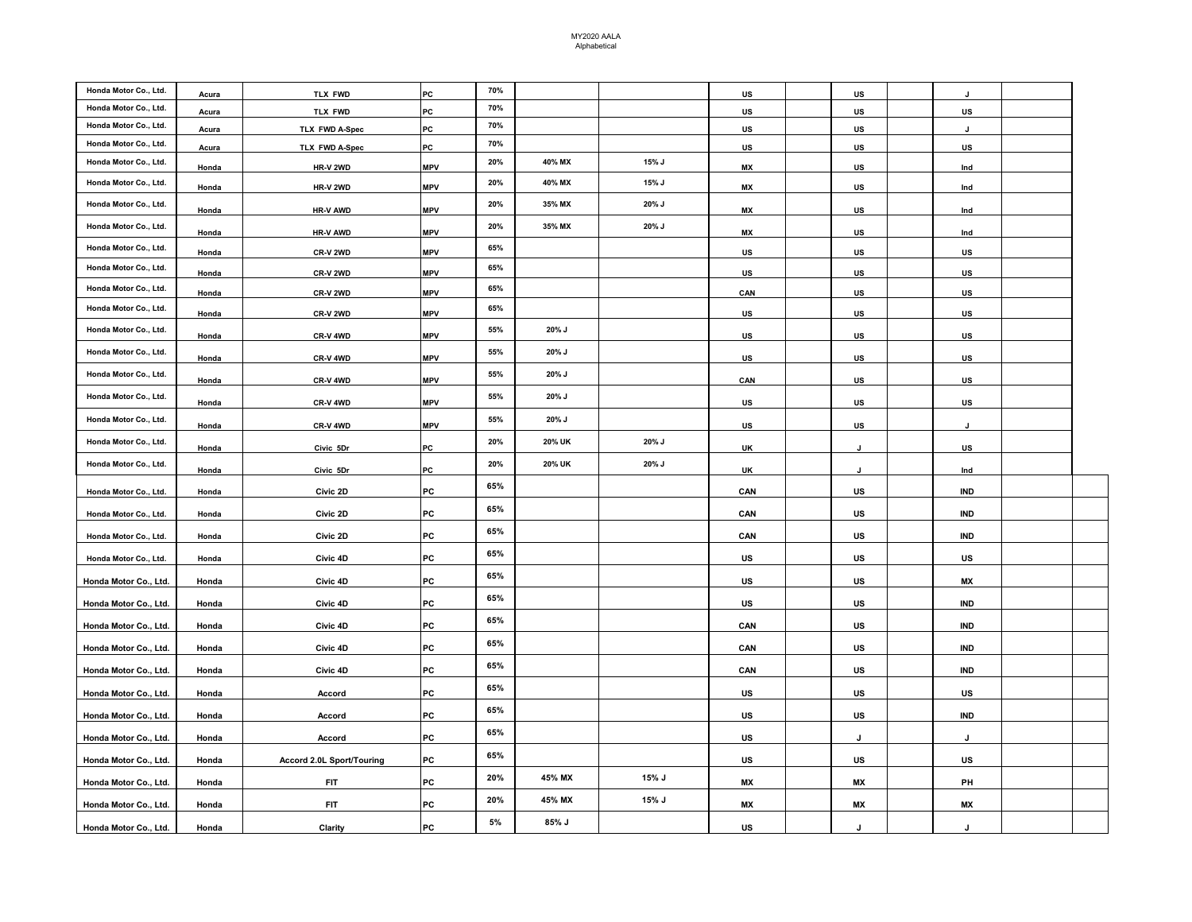| Honda Motor Co., Ltd. |       |                           |            | 70%   |        |       |           |     |            |  |
|-----------------------|-------|---------------------------|------------|-------|--------|-------|-----------|-----|------------|--|
| Honda Motor Co., Ltd. | Acura | <b>TLX FWD</b>            | PC         | 70%   |        |       | US        | US  | J          |  |
|                       | Acura | <b>TLX FWD</b>            | PC         |       |        |       | US.       | US. | US.        |  |
| Honda Motor Co., Ltd. | Acura | TLX FWD A-Spec            | PC         | 70%   |        |       | US        | US  | J          |  |
| Honda Motor Co., Ltd. | Acura | TLX FWD A-Spec            | PC         | 70%   |        |       | US        | US  | US         |  |
| Honda Motor Co., Ltd. | Honda | HR-V 2WD                  | <b>MPV</b> | 20%   | 40% MX | 15% J | MX        | US  | Ind        |  |
| Honda Motor Co., Ltd. | Honda | HR-V 2WD                  | <b>MPV</b> | 20%   | 40% MX | 15% J | MX        | US  | Ind        |  |
| Honda Motor Co., Ltd. | Honda | <b>HR-V AWD</b>           | <b>MPV</b> | 20%   | 35% MX | 20% J | МX        | US  | Ind        |  |
| Honda Motor Co., Ltd. | Honda | <b>HR-V AWD</b>           | <b>MPV</b> | 20%   | 35% MX | 20% J | <b>MX</b> | US. | Ind        |  |
| Honda Motor Co., Ltd. | Honda | CR-V 2WD                  | <b>MPV</b> | 65%   |        |       | US        | US. | <u>US</u>  |  |
| Honda Motor Co., Ltd. | Honda | CR-V 2WD                  | <b>MPV</b> | 65%   |        |       | US        | US. | <u>US</u>  |  |
| Honda Motor Co., Ltd. | Honda | CR-V 2WD                  | <b>MPV</b> | 65%   |        |       | CAN       | US. | <u>US</u>  |  |
| Honda Motor Co., Ltd. | Honda | CR-V 2WD                  | <b>MPV</b> | 65%   |        |       | US        | US. | <u>US</u>  |  |
| Honda Motor Co., Ltd. | Honda | CR-V 4WD                  | <b>MPV</b> | 55%   | 20% J  |       | US        | US  | US         |  |
| Honda Motor Co., Ltd. | Honda | CR-V 4WD                  | <b>MPV</b> | 55%   | 20% J  |       | US        | US  | US         |  |
| Honda Motor Co., Ltd. | Honda | CR-V 4WD                  | <b>MPV</b> | 55%   | 20% J  |       | CAN       | US  | US         |  |
| Honda Motor Co., Ltd. |       |                           |            | 55%   | 20% J  |       |           |     |            |  |
|                       | Honda | CR-V 4WD                  | <b>MPV</b> |       |        |       | US.       | US  | <u>US</u>  |  |
| Honda Motor Co., Ltd. | Honda | CR-V 4WD                  | <b>MPV</b> | 55%   | 20% J  |       | US        | US  | J          |  |
| Honda Motor Co., Ltd. | Honda | Civic 5Dr                 | PC         | 20%   | 20% UK | 20% J | <b>UK</b> | J   | US.        |  |
| Honda Motor Co., Ltd. | Honda | Civic 5Dr                 | PC         | 20%   | 20% UK | 20% J | UK        | J   | Ind        |  |
| Honda Motor Co., Ltd. | Honda | Civic 2D                  | PC         | 65%   |        |       | CAN       | US  | <b>IND</b> |  |
| Honda Motor Co., Ltd. | Honda | Civic 2D                  | PC         | 65%   |        |       | CAN       | US  | IND        |  |
| Honda Motor Co., Ltd. | Honda | Civic 2D                  | PC         | 65%   |        |       | CAN       | US  | <b>IND</b> |  |
| Honda Motor Co., Ltd. | Honda | Civic 4D                  | PC         | 65%   |        |       | US        | US  | US         |  |
| Honda Motor Co., Ltd. | Honda | Civic 4D                  | PC         | 65%   |        |       | US        | US  | <b>MX</b>  |  |
|                       |       |                           | PC         | 65%   |        |       |           |     |            |  |
| Honda Motor Co., Ltd. | Honda | Civic 4D                  |            | 65%   |        |       | US        | US  | <b>IND</b> |  |
| Honda Motor Co., Ltd. | Honda | Civic 4D                  | PC         |       |        |       | CAN       | US  | IND        |  |
| Honda Motor Co., Ltd. | Honda | Civic 4D                  | PC         | 65%   |        |       | CAN       | US  | IND        |  |
| Honda Motor Co., Ltd. | Honda | Civic 4D                  | PC         | 65%   |        |       | CAN       | US  | IND        |  |
| Honda Motor Co., Ltd. | Honda | Accord                    | PC         | 65%   |        |       | US        | US  | US         |  |
| Honda Motor Co., Ltd. | Honda | Accord                    | PC         | 65%   |        |       | US        | US  | IND        |  |
| Honda Motor Co., Ltd. | Honda | Accord                    | PC         | 65%   |        |       | US        | J   | J          |  |
| Honda Motor Co., Ltd. | Honda | Accord 2.0L Sport/Touring | PC         | 65%   |        |       | US        | US  | US         |  |
|                       |       |                           |            | 20%   | 45% MX | 15% J |           |     |            |  |
| Honda Motor Co., Ltd. | Honda | <b>FIT</b>                | PC         | 20%   | 45% MX | 15% J | МX        | МX  | PH         |  |
| Honda Motor Co., Ltd. | Honda | <b>FIT</b>                | PC         | $5\%$ | 85% J  |       | МX        | МX  | <b>MX</b>  |  |
| Honda Motor Co., Ltd. | Honda | Clarity                   | PC         |       |        |       | US        | J   | J          |  |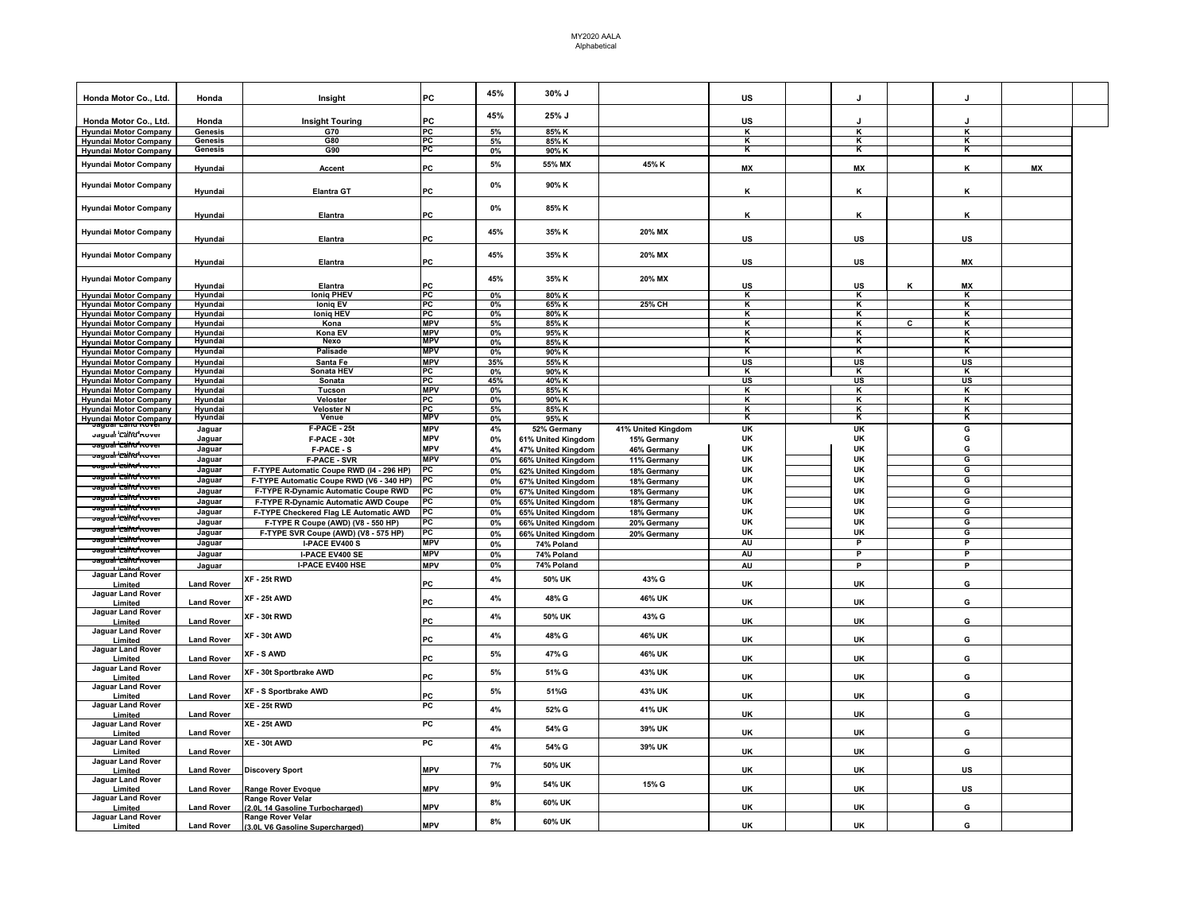| Honda Motor Co., Ltd.                                        | Honda             | Insight                                             | PC         | 45%   | 30% J              |                    | US                      | J         |                | J                       |           |  |
|--------------------------------------------------------------|-------------------|-----------------------------------------------------|------------|-------|--------------------|--------------------|-------------------------|-----------|----------------|-------------------------|-----------|--|
| Honda Motor Co., Ltd.                                        | Honda             | <b>Insight Touring</b>                              | PC         | 45%   | 25% J              |                    | US                      | J.        |                | $\cdot$                 |           |  |
|                                                              | Genesis           | G70                                                 | PC         | 5%    | 85% K              |                    | κ                       | к         |                | к                       |           |  |
| <b>Hyundai Motor Company</b><br><b>Hyundai Motor Company</b> | Genesis           | G80                                                 | PC         | 5%    | 85% K              |                    | κ                       | κ         |                | К                       |           |  |
| <b>Hyundai Motor Company</b>                                 | Genesis           | G90                                                 | PC         | 0%    | 90% K              |                    | к                       | κ         |                | κ                       |           |  |
|                                                              |                   |                                                     |            |       |                    |                    |                         |           |                |                         |           |  |
| <b>Hyundai Motor Company</b>                                 | Hyundai           | Accent                                              | PC         | $5\%$ | 55% MX             | 45% K              | <b>MX</b>               | <b>MX</b> |                | К                       | <b>MX</b> |  |
| <b>Hyundai Motor Company</b>                                 | Hyundai           | <b>Elantra GT</b>                                   | PC         | $0\%$ | 90% K              |                    | ĸ                       | ĸ         |                | κ                       |           |  |
| <b>Hyundai Motor Company</b>                                 | Hyundai           | Elantra                                             | PC         | 0%    | 85% K              |                    | К                       | κ         |                | κ                       |           |  |
| <b>Hyundai Motor Company</b>                                 |                   |                                                     |            | 45%   | 35% K              | 20% MX             |                         |           |                |                         |           |  |
| <b>Hyundai Motor Company</b>                                 | Hyundai           | Elantra                                             | PC         | 45%   | 35% K              | 20% MX             | US                      | US        |                | US                      |           |  |
|                                                              | Hyundai           | Elantra                                             | PC         |       |                    |                    | US                      | US        |                | <b>MX</b>               |           |  |
| <b>Hyundai Motor Company</b>                                 | Hyundai           | Elantra                                             | PC         | 45%   | 35% K              | 20% MX             | US                      | US        | κ              | MX                      |           |  |
| <b>Hyundai Motor Company</b>                                 | Hyundai           | <b>Ioniq PHEV</b>                                   | PC         | 0%    | 80% K              |                    | к                       | κ         |                | к                       |           |  |
| <b>Hyundai Motor Company</b>                                 | Hyundai           | <b>Ionig EV</b>                                     | PC         | 0%    | 65% K              | 25% CH             | К                       | ĸ         |                | ĸ                       |           |  |
| <b>Hyundai Motor Company</b>                                 | Hyundai           | <b>loniq HEV</b>                                    | PC         | 0%    | 80% K              |                    | κ                       | к         |                | κ                       |           |  |
| <b>Hyundai Motor Company</b>                                 | Hyundai           | Kona                                                | <b>MPV</b> | 5%    | 85% K              |                    | κ                       | K         | $\overline{c}$ | $\mathsf{K}$            |           |  |
| <b>Hyundai Motor Company</b>                                 | Hyundai           | Kona EV                                             | <b>MPV</b> | 0%    | 95% K              |                    | К                       | κ         |                | κ                       |           |  |
| <b>Hyundai Motor Company</b>                                 | Hyundai           | <b>Nexo</b>                                         | <b>MPV</b> | 0%    | 85% K              |                    | к                       | к         |                | κ                       |           |  |
| <b>Hyundai Motor Company</b>                                 | Hyundai           | Palisade                                            | <b>MPV</b> | 0%    | 90% K              |                    | κ                       | κ         |                | κ                       |           |  |
| <b>Hyundai Motor Company</b>                                 | Hyundai           | Santa Fe                                            | <b>MPV</b> | 35%   | 55% K              |                    | US                      | US        |                | US                      |           |  |
| <b>Hyundai Motor Company</b>                                 | Hyundai           | Sonata HEV                                          | PC         | 0%    | 90% K              |                    | $\overline{\mathbf{K}}$ | ĸ         |                | $\overline{\mathbf{K}}$ |           |  |
| <b>Hyundai Motor Company</b>                                 | Hyundai           | Sonata                                              | PC         | 45%   | 40% K              |                    | <b>US</b>               | <b>US</b> |                | <b>US</b>               |           |  |
| <b>Hyundai Motor Company</b>                                 | Hyundai           | Tucson                                              | <b>MPV</b> | 0%    | 85% K              |                    | κ                       | κ         |                | κ                       |           |  |
| <b>Hyundai Motor Company</b>                                 | Hyundai           | Veloster                                            | PC         | 0%    | 90% K              |                    | К                       | κ         |                | κ                       |           |  |
| <b>Hyundai Motor Company</b>                                 | Hyundai           | Veloster N                                          | PC         | 5%    | 85% K              |                    | К                       | ĸ         |                | κ                       |           |  |
|                                                              | Hyundai           | Venue                                               | <b>MPV</b> | 0%    | 95% K              |                    | ĸ                       | к         |                | κ                       |           |  |
| <b>Hyundai Motor Company</b>                                 |                   |                                                     |            |       |                    |                    |                         |           |                |                         |           |  |
| Jayual 'Ealtu' Kuver                                         | Jaguar            | F-PACE - 25t                                        | <b>MPV</b> | 4%    | 52% Germany        | 41% United Kingdom | UK                      | <b>UK</b> |                | G                       |           |  |
| <del>Jagual 'CtiftC'hov</del>                                | Jaguar            | F-PACE - 30t                                        | <b>MPV</b> | 0%    | 61% United Kingdom | 15% Germany        | UK                      | UK        |                | G                       |           |  |
|                                                              | Jaguar            | F-PACE - S                                          | <b>MPV</b> | 4%    | 47% United Kingdom | 46% Germany        | UK                      | UK        |                | G                       |           |  |
| <del>Jagual '⊏aihu' Kove</del>                               | Jaguar            | <b>F-PACE - SVR</b>                                 | <b>MPV</b> | $0\%$ | 66% United Kingdom | 11% Germany        | UK                      | UK        |                | G                       |           |  |
| <del>Jagual 'Callu' Kove</del> r                             | Jaguar            | F-TYPE Automatic Coupe RWD (I4 - 296 HP)            | PC         | 0%    | 62% United Kingdom | 18% Germany        | UK                      | UK        |                | G                       |           |  |
| <del>ragual 'Ctihu'hor</del>                                 | Jaguar            | F-TYPE Automatic Coupe RWD (V6 - 340 HP)            | PC         | 0%    | 67% United Kingdom | 18% Germany        | <b>UK</b>               | <b>UK</b> |                | G                       |           |  |
| r <del>agual 'Caltu' Rove</del>                              | Jaguar            | F-TYPE R-Dynamic Automatic Coupe RWD                | PC         | 0%    | 67% United Kingdom | 18% Germany        | UK                      | <b>UK</b> |                | G                       |           |  |
| r <del>auual 'Ctiht/ Kove</del>                              |                   |                                                     | PC         |       |                    |                    | UK                      | <b>UK</b> |                | G                       |           |  |
| <del>Jauual 'Callu' Kove</del>                               | Jaguar            | F-TYPE R-Dynamic Automatic AWD Coupe                |            | 0%    | 65% United Kingdom | 18% Germany        |                         |           |                |                         |           |  |
| <del>agual 'CtifAr'</del> m                                  | Jaguar            | F-TYPE Checkered Flag LE Automatic AWD              | PC         | 0%    | 65% United Kingdom | 18% Germany        | UK                      | UK        |                | G                       |           |  |
|                                                              | Jaguar            | F-TYPE R Coupe (AWD) (V8 - 550 HP)                  | PC         | 0%    | 66% United Kingdom | 20% Germany        | UK                      | <b>UK</b> |                | G                       |           |  |
| ragual "Caltu" Kov                                           | Jaguar            | F-TYPE SVR Coupe (AWD) (V8 - 575 HP)                | PC         | 0%    | 66% United Kingdom | 20% Germany        | UK                      | <b>UK</b> |                | G                       |           |  |
| <del>Jayual 'Calftu' Rove</del>                              | Jaguar            | I-PACE EV400 S                                      | <b>MPV</b> | $0\%$ | 74% Poland         |                    | AU                      | P         |                | P                       |           |  |
| r <del>auual 'Ctiftt' Kovi</del>                             | Jaguar            | I-PACE EV400 SE                                     | <b>MPV</b> | 0%    | 74% Poland         |                    | <b>AU</b>               | P         |                | P                       |           |  |
| <del>Jayual 'Camu' Rover</del>                               |                   | I-PACE EV400 HSE                                    | <b>MPV</b> | 0%    | 74% Poland         |                    |                         | P         |                | P                       |           |  |
|                                                              | Jaguar            |                                                     |            |       |                    |                    | AU                      |           |                |                         |           |  |
| Jaguar Land Rover<br>Limited                                 | <b>Land Rover</b> | XF - 25t RWD                                        | PC         | 4%    | 50% UK             | 43% G              | <b>UK</b>               | UK        |                | G                       |           |  |
| Jaguar Land Rover<br>Limited                                 | <b>Land Rover</b> | XF - 25t AWD                                        | PC         | 4%    | 48% G              | 46% UK             | UK                      | UK        |                | G                       |           |  |
| Jaguar Land Rover<br>Limited                                 | <b>Land Rover</b> | XF - 30t RWD                                        | PC         | 4%    | 50% UK             | 43% G              | UK                      | UK        |                | G                       |           |  |
| Jaguar Land Rover<br>Limited                                 | <b>Land Rover</b> | XF - 30t AWD                                        | PC         | 4%    | 48% G              | 46% UK             | UK                      | UK        |                | G                       |           |  |
| Jaguar Land Rover<br>Limited                                 | <b>Land Rover</b> | XF - S AWD                                          | PC         | 5%    | 47% G              | 46% UK             | UK                      | UK        |                | G                       |           |  |
| Jaguar Land Rover<br>Limited                                 | <b>Land Rover</b> | XF - 30t Sportbrake AWD                             | PC         | 5%    | 51% G              | 43% UK             | UK                      | UK        |                | G                       |           |  |
| Jaguar Land Rover<br>Limited                                 | <b>Land Rover</b> | XF - S Sportbrake AWD                               | PC         | $5\%$ | 51%G               | 43% UK             | UK                      | UK        |                | G                       |           |  |
| <b>Jaguar Land Rover</b><br>Limited                          | <b>Land Rover</b> | XE - 25t RWD                                        | PC         | 4%    | 52% G              | 41% UK             | UK                      | UK        |                | G                       |           |  |
| Jaguar Land Rover<br>Limited                                 | <b>Land Rover</b> | <b>XE - 25t AWD</b>                                 | PC         | 4%    | 54% G              | 39% UK             | UK                      | UK        |                | G                       |           |  |
| Jaguar Land Rover<br>Limited                                 | <b>Land Rover</b> | XE - 30t AWD                                        | PC         | 4%    | 54% G              | 39% UK             | UK                      | UK        |                | G                       |           |  |
| Jaguar Land Rover<br>Limited                                 | <b>Land Rover</b> | <b>Discovery Sport</b>                              | <b>MPV</b> | 7%    | 50% UK             |                    | UK                      | UK        |                | US                      |           |  |
| Jaguar Land Rover<br>Limited                                 | <b>Land Rover</b> | Range Rover Evoque                                  | <b>MPV</b> | 9%    | 54% UK             | 15% G              | UK                      | UK        |                | US                      |           |  |
| Jaguar Land Rover<br>Limited                                 | <b>Land Rover</b> | Range Rover Velar<br>2.0L 14 Gasoline Turbocharged) | <b>MPV</b> | 8%    | 60% UK             |                    | UK                      | <b>UK</b> |                | G                       |           |  |
| Jaguar Land Rover                                            |                   | Range Rover Velar                                   | <b>MPV</b> | 8%    | 60% UK             |                    |                         |           |                |                         |           |  |
| Limited                                                      | <b>Land Rover</b> | (3.0L V6 Gasoline Supercharged)                     |            |       |                    |                    | UK                      | UK        |                | G                       |           |  |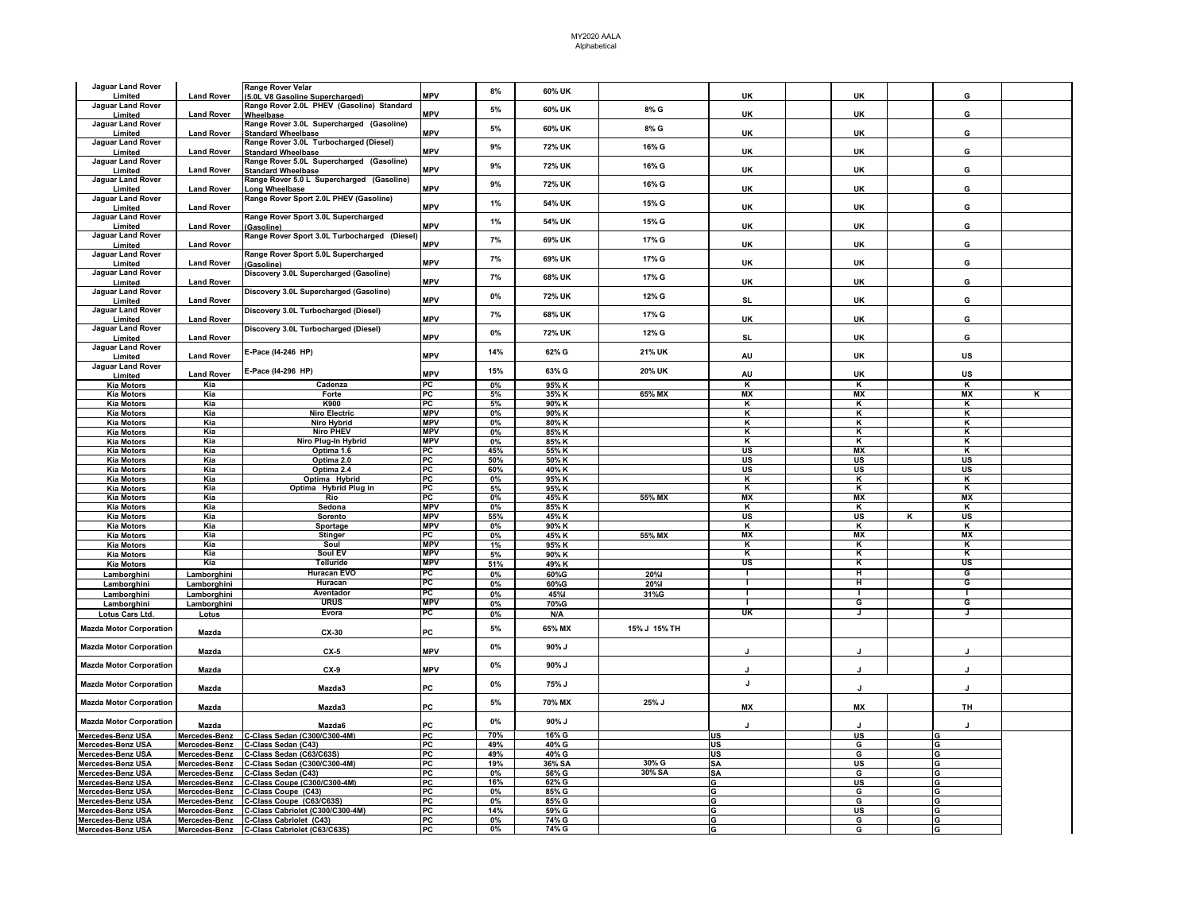## MY2020 AALA Alphabetical

| Jaguar Land Rover                      |                   | Range Rover Velar                                                                   |                  | 8%       | 60% UK         |              |              |                         |   |                         |   |
|----------------------------------------|-------------------|-------------------------------------------------------------------------------------|------------------|----------|----------------|--------------|--------------|-------------------------|---|-------------------------|---|
| Limited                                | <b>Land Rover</b> | (5.0L V8 Gasoline Supercharged)                                                     | <b>MPV</b>       |          |                |              | <b>UK</b>    | <b>UK</b>               |   | G                       |   |
| Jaguar Land Rover                      |                   | Range Rover 2.0L PHEV (Gasoline) Standard                                           |                  | 5%       | 60% UK         | 8% G         |              |                         |   |                         |   |
| Limited                                | <b>Land Rover</b> | Wheelbase                                                                           | <b>MPV</b>       |          |                |              | UK           | UK                      |   | G                       |   |
| Jaguar Land Rover                      |                   | Range Rover 3.0L Supercharged (Gasoline)                                            |                  |          |                |              |              |                         |   |                         |   |
| Limited                                | <b>Land Rover</b> | <b>Standard Wheelbase</b>                                                           | <b>MPV</b>       | 5%       | 60% UK         | 8% G         | UK           | <b>UK</b>               |   | G                       |   |
| Jaguar Land Rover                      |                   | Range Rover 3.0L Turbocharged (Diesel)                                              |                  |          |                |              |              |                         |   |                         |   |
| Limited                                | <b>Land Rover</b> | <b>Standard Wheelbase</b>                                                           | <b>MPV</b>       | 9%       | 72% UK         | 16% G        | <b>UK</b>    | <b>UK</b>               |   | G                       |   |
| Jaguar Land Rover                      |                   | Range Rover 5.0L Supercharged (Gasoline)                                            |                  |          |                |              |              |                         |   |                         |   |
| Limited                                | <b>Land Rover</b> | <b>Standard Wheelbase</b>                                                           | <b>MPV</b>       | 9%       | 72% UK         | 16% G        | UK           | UK                      |   | G                       |   |
| Jaguar Land Rover                      |                   | Range Rover 5.0 L Supercharged (Gasoline)                                           |                  |          |                |              |              |                         |   |                         |   |
|                                        |                   |                                                                                     | <b>MPV</b>       | 9%       | 72% UK         | 16% G        | UK           | UK                      |   | G                       |   |
| Limited                                | <b>Land Rover</b> | Long Wheelbase                                                                      |                  |          |                |              |              |                         |   |                         |   |
| Jaguar Land Rover                      |                   | Range Rover Sport 2.0L PHEV (Gasoline)                                              |                  | 1%       | 54% UK         | 15% G        |              |                         |   |                         |   |
| Limited                                | <b>Land Rover</b> |                                                                                     | <b>MPV</b>       |          |                |              | UK           | UK                      |   | G                       |   |
| Jaguar Land Rover                      |                   | Range Rover Sport 3.0L Supercharged                                                 |                  | 1%       | 54% UK         | 15% G        |              |                         |   |                         |   |
| Limited                                | <b>Land Rover</b> | (Gasoline)                                                                          | <b>MPV</b>       |          |                |              | UK           | UK                      |   | G                       |   |
| Jaguar Land Rover                      |                   | Range Rover Sport 3.0L Turbocharged (Diesel                                         |                  | 7%       | 69% UK         | 17% G        |              |                         |   |                         |   |
| Limited                                | <b>Land Rover</b> |                                                                                     | <b>MPV</b>       |          |                |              | UK           | UK                      |   | G                       |   |
| Jaguar Land Rover                      |                   | Range Rover Sport 5.0L Supercharged                                                 |                  |          |                |              |              |                         |   |                         |   |
| Limited                                | <b>Land Rover</b> | (Gasoline)                                                                          | <b>MPV</b>       | 7%       | 69% UK         | 17% G        | <b>UK</b>    | <b>UK</b>               |   | G                       |   |
| Jaguar Land Rover                      |                   | Discovery 3.0L Supercharged (Gasoline)                                              |                  |          |                |              |              |                         |   |                         |   |
| Limited                                | <b>Land Rover</b> |                                                                                     | <b>MPV</b>       | 7%       | 68% UK         | 17% G        | UK           | UK                      |   | G                       |   |
| Jaguar Land Rover                      |                   | Discovery 3.0L Supercharged (Gasoline)                                              |                  |          |                |              |              |                         |   |                         |   |
| Limited                                | <b>Land Rover</b> |                                                                                     | <b>MPV</b>       | 0%       | 72% UK         | 12% G        | <b>SL</b>    | UK                      |   | G                       |   |
| Jaguar Land Rover                      |                   | Discovery 3.0L Turbocharged (Diesel)                                                |                  |          |                |              |              |                         |   |                         |   |
| Limited                                | <b>Land Rover</b> |                                                                                     | <b>MPV</b>       | 7%       | 68% UK         | 17% G        | UK           | <b>UK</b>               |   | G                       |   |
| Jaguar Land Rover                      |                   |                                                                                     |                  |          |                |              |              |                         |   |                         |   |
|                                        |                   | Discovery 3.0L Turbocharged (Diesel)                                                | <b>MPV</b>       | 0%       | 72% UK         | 12% G        |              |                         |   |                         |   |
| Limited                                | <b>Land Rover</b> |                                                                                     |                  |          |                |              | <b>SL</b>    | UK                      |   | G                       |   |
| Jaguar Land Rover                      |                   | E-Pace (I4-246 HP)                                                                  |                  | 14%      | 62% G          | 21% UK       |              |                         |   |                         |   |
| Limited                                | <b>Land Rover</b> |                                                                                     | <b>MPV</b>       |          |                |              | AU           | UK                      |   | US                      |   |
| Jaguar Land Rover                      |                   | E-Pace (14-296 HP)                                                                  |                  | 15%      | 63% G          | 20% UK       |              |                         |   |                         |   |
| Limited                                | <b>Land Rover</b> |                                                                                     | <b>MPV</b>       |          |                |              | AU           | UK                      |   | US                      |   |
| <b>Kia Motors</b>                      | Kia               | Cadenza                                                                             | PC               | $0\%$    | 95% K          |              | K            | $\overline{\mathbf{K}}$ |   | $\overline{\mathbf{K}}$ |   |
| <b>Kia Motors</b>                      | Kia               | Forte                                                                               | PC               | 5%       | 35% K          | 65% MX       | <b>MX</b>    | <b>MX</b>               |   | <b>MX</b>               | ĸ |
| <b>Kia Motors</b>                      | Kia               | K900                                                                                | PC               | 5%       | 90% K          |              | κ            | к                       |   | к                       |   |
| <b>Kia Motors</b>                      | Kia               | <b>Niro Electric</b>                                                                | <b>MPV</b>       | 0%       | 90% K          |              | к            | Κ                       |   | ĸ                       |   |
| <b>Kia Motors</b>                      | Kia               | Niro Hybrid                                                                         | <b>MPV</b>       | 0%       | 80% K          |              | κ            | κ                       |   | κ                       |   |
| <b>Kia Motors</b>                      | Kia               | <b>Niro PHEV</b>                                                                    | <b>MPV</b>       | 0%       | 85% K          |              | к            | K                       |   | κ                       |   |
| <b>Kia Motors</b>                      | Kia               |                                                                                     | <b>MPV</b>       | 0%       | 85% K          |              | к            | К                       |   | κ                       |   |
|                                        | Kia               | Niro Plug-In Hybrid<br>Optima 1.6                                                   | PC               | 45%      |                |              | <b>US</b>    | <b>MX</b>               |   | к                       |   |
| <b>Kia Motors</b>                      |                   |                                                                                     |                  |          | 55% K          |              |              |                         |   |                         |   |
| <b>Kia Motors</b>                      | Kia               | Optima 2.0                                                                          | PС               | 50%      | 50% K          |              | US           | <b>US</b>               |   | <b>US</b>               |   |
| <b>Kia Motors</b>                      | Kia               | Optima 2.4                                                                          | PC               | 60%      | 40% K          |              | US           | US                      |   | US                      |   |
| <b>Kia Motors</b>                      | Kia               | Optima Hybrid                                                                       | PC               | 0%       | 95% K          |              | к            | K                       |   | к                       |   |
| <b>Kia Motors</b>                      | Kia               | Optima Hybrid Plug in                                                               | PC               | 5%       | 95% K          |              | K            | K                       |   | ĸ                       |   |
| <b>Kia Motors</b>                      | Kia               | Rio                                                                                 | PC               | $0\%$    | 45% K          | 55% MX       | <b>MX</b>    | <b>MX</b>               |   | <b>MX</b>               |   |
| <b>Kia Motors</b>                      | Kia               | Sedona                                                                              | <b>MPV</b>       | 0%       | 85% K          |              | K            | κ                       |   | к                       |   |
| <b>Kia Motors</b>                      | Kia               | Sorento                                                                             | <b>MPV</b>       | 55%      | 45% K          |              | US           | US                      | κ | <b>US</b>               |   |
| <b>Kia Motors</b>                      | Kia               | Sportage                                                                            | <b>MPV</b>       | 0%       | 90% K          |              | κ            | Κ                       |   | κ                       |   |
| <b>Kia Motors</b>                      | Kia               | <b>Stinger</b>                                                                      | PC               | 0%       | 45% K          | 55% MX       | MX           | МX                      |   | <b>MX</b>               |   |
| <b>Kia Motors</b>                      | Kia               | Soul                                                                                | <b>MPV</b>       | 1%       | 95% K          |              | K            | K                       |   | ĸ                       |   |
| <b>Kia Motors</b>                      | Kia               | Soul EV                                                                             | <b>MPV</b>       | 5%       | 90% K          |              | к            | ĸ                       |   |                         |   |
| <b>Kia Motors</b>                      | Kia               | Telluride                                                                           | <b>MPV</b>       | 51%      | 49% K          |              | US           | κ                       |   | US                      |   |
|                                        |                   |                                                                                     | PС               |          |                |              | - 1          | н                       |   | G                       |   |
| Lamborghini                            | Lamborghini       | Huracan EVO                                                                         |                  | 0%       | 60%G           | <b>20%</b>   |              |                         |   |                         |   |
| Lamborghini                            | Lamborghini       | Huracan                                                                             | PC               | 0%       |                |              |              |                         |   |                         |   |
| Lamborghini                            | Lamborghini       | Aventador                                                                           |                  |          | 60%G           | 20%l         |              | ᡎ                       |   | G                       |   |
| Lamborghini                            |                   |                                                                                     | PС               | 0%       | 45%l           | 31%G         |              |                         |   |                         |   |
|                                        | Lamborghini       | <b>URUS</b>                                                                         | MPV              | 0%       | 70%G           |              |              | G                       |   | G                       |   |
| Lotus Cars Ltd.                        | Lotus             | Evora                                                                               | PC               | 0%       | N/A            |              | UK           | J                       |   |                         |   |
|                                        |                   |                                                                                     |                  |          |                |              |              |                         |   |                         |   |
| <b>Mazda Motor Corporation</b>         |                   |                                                                                     |                  | 5%       | 65% MX         | 15% J 15% TH |              |                         |   |                         |   |
|                                        | Mazda             | CX-30                                                                               | PC               |          |                |              |              |                         |   |                         |   |
| <b>Mazda Motor Corporation</b>         |                   |                                                                                     |                  | $0\%$    | 90% J          |              |              |                         |   |                         |   |
|                                        | Mazda             | $CX-5$                                                                              | <b>MPV</b>       |          |                |              |              |                         |   |                         |   |
| <b>Mazda Motor Corporation</b>         |                   |                                                                                     |                  | 0%       | 90% J          |              |              |                         |   |                         |   |
|                                        | Mazda             | CX-9                                                                                | <b>MPV</b>       |          |                |              | $\mathbf{I}$ |                         |   |                         |   |
|                                        |                   |                                                                                     |                  |          |                |              | J            |                         |   |                         |   |
| <b>Mazda Motor Corporation</b>         | Mazda             | Mazda3                                                                              | PC               | 0%       | 75% J          |              |              | J                       |   |                         |   |
|                                        |                   |                                                                                     |                  |          |                |              |              |                         |   |                         |   |
| <b>Mazda Motor Corporation</b>         | Mazda             | Mazda3                                                                              | PC               | 5%       | 70% MX         | 25% J        | <b>MX</b>    | <b>MX</b>               |   | TH                      |   |
|                                        |                   |                                                                                     |                  |          |                |              |              |                         |   |                         |   |
| <b>Mazda Motor Corporation</b>         | Mazda             | Mazda6                                                                              | PС               | 0%       | 90% J          |              |              |                         |   |                         |   |
|                                        |                   |                                                                                     | PC               | 70%      | 16% G          |              | US           | US                      |   | G                       |   |
| Mercedes-Benz USA                      | Mercedes-Benz     | C-Class Sedan (C300/C300-4M)                                                        |                  | 49%      | 40% G          |              |              |                         |   |                         |   |
| <b>Mercedes-Benz USA</b>               | Mercedes-Benz     | C-Class Sedan (C43)                                                                 | PC               |          |                |              | US           | G                       |   | G                       |   |
| Mercedes-Benz USA                      | Mercedes-Benz     | C-Class Sedan (C63/C63S)                                                            | PC               | 49%      | 40% G          |              | <b>US</b>    | G                       |   | G                       |   |
| Mercedes-Benz USA                      | Mercedes-Benz     | C-Class Sedan (C300/C300-4M)                                                        | <b>PC</b>        | 19%      | 36% SA         | 30% G        | <b>SA</b>    | US                      |   | G                       |   |
| Mercedes-Benz USA                      | Mercedes-Benz     | C-Class Sedan (C43)                                                                 | P                | 0%       | 56% G          | 30% SA       | <b>SA</b>    | G                       |   | G                       |   |
| Mercedes-Benz USA                      | Mercedes-Benz     | C-Class Coupe (C300/C300-4M)                                                        | <b>PC</b>        | 16%      | 62% G          |              | G            | US                      |   | G                       |   |
| Mercedes-Benz USA                      | Mercedes-Benz     | C-Class Coupe (C43)                                                                 | PC               | 0%       | 85% G          |              | G            | G                       |   | G                       |   |
| Mercedes-Benz USA                      | Mercedes-Benz     | C-Class Coupe (C63/C63S)                                                            | PC               | 0%       | 85% G          |              | G            | G                       |   | G                       |   |
| Mercedes-Benz USA                      | Mercedes-Benz     | C-Class Cabriolet (C300/C300-4M)                                                    | PC               | 14%      | 59% G          |              | G            | US                      |   | G                       |   |
| Mercedes-Benz USA<br>Mercedes-Benz USA |                   | Mercedes-Benz C-Class Cabriolet (C43)<br>Mercedes-Benz C-Class Cabriolet (C63/C63S) | PC<br><b>IPC</b> | 0%<br>0% | 74% G<br>74% G |              | G<br>G       | G<br>G                  |   | G<br>G                  |   |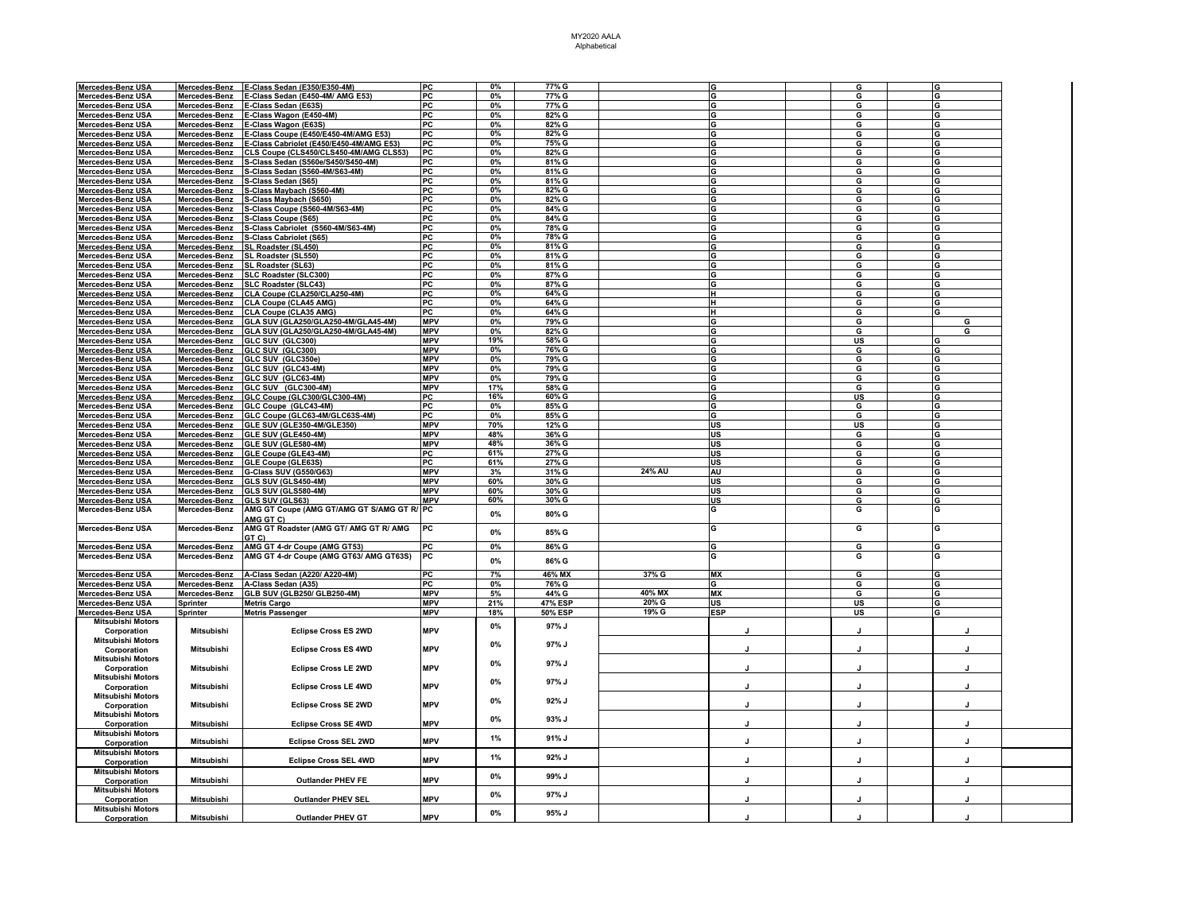| Mercedes-Benz USA        | Mercedes-Benz        | E-Class Sedan (E350/E350-4M)               | PC         | 0%    | 77% G          |        |             | G       |         |  |
|--------------------------|----------------------|--------------------------------------------|------------|-------|----------------|--------|-------------|---------|---------|--|
| <b>Mercedes-Benz USA</b> | Mercedes-Benz        | E-Class Sedan (E450-4M/ AMG E53)           | PC         | 0%    | 77% G          |        |             | G       |         |  |
|                          |                      |                                            |            |       |                |        |             |         |         |  |
| <b>Mercedes-Benz USA</b> | Mercedes-Benz        | E-Class Sedan (E63S)                       | PC         | 0%    | 77% G          |        |             | G       | G       |  |
| Mercedes-Benz USA        | Mercedes-Benz        | E-Class Wagon (E450-4M)                    | PC         | 0%    | 82% G          |        | ີ           | G       | G       |  |
|                          |                      |                                            | PC.        | 0%    | 82% G          |        |             | G       | G       |  |
| Mercedes-Benz USA        | Mercedes-Benz        | E-Class Wagon (E63S)                       |            |       |                |        |             |         |         |  |
| Mercedes-Benz USA        | Mercedes-Benz        | E-Class Coupe (E450/E450-4M/AMG E53)       | PC         | $0\%$ | 82% G          |        | G           | G       | G       |  |
| Mercedes-Benz USA        | Mercedes-Benz        | E-Class Cabriolet (E450/E450-4M/AMG E53)   | PC         | 0%    | 75% G          |        |             | G       | G       |  |
|                          |                      |                                            |            |       |                |        |             |         |         |  |
| Mercedes-Benz USA        | Mercedes-Benz        | CLS Coupe (CLS450/CLS450-4M/AMG CLS53)     | PC         | 0%    | 82% G          |        |             | G       |         |  |
| <b>Mercedes-Benz USA</b> | Mercedes-Benz        | S-Class Sedan (S560e/S450/S450-4M)         | PC         | 0%    | 81% G          |        |             | G       |         |  |
|                          |                      |                                            |            |       |                |        |             |         |         |  |
| Mercedes-Benz USA        | Mercedes-Benz        | S-Class Sedan (S560-4M/S63-4M)             | PC         | 0%    | 81% G          |        |             | G       | G       |  |
| Mercedes-Benz USA        | Mercedes-Benz        | S-Class Sedan (S65)                        | PC         | 0%    | 81% G          |        | IG          | G       | G       |  |
|                          |                      |                                            |            |       |                |        |             |         |         |  |
| Mercedes-Benz USA        | Mercedes-Benz        | S-Class Maybach (S560-4M)                  | PC         | 0%    | 82% G          |        | G           | G       | G       |  |
| Mercedes-Benz USA        | Mercedes-Benz        | S-Class Maybach (S650)                     | PC         | 0%    | 82% G          |        |             | G       | G       |  |
|                          |                      |                                            |            |       |                |        |             |         |         |  |
| <b>Mercedes-Benz USA</b> | Mercedes-Benz        | S-Class Coupe (S560-4M/S63-4M)             | PC         | $0\%$ | 84% G          |        |             | G       | G       |  |
| Mercedes-Benz USA        | Mercedes-Benz        | S-Class Coupe (S65)                        | PC         | 0%    | 84% G          |        |             | G       | G       |  |
|                          |                      |                                            |            |       |                |        |             |         |         |  |
| <b>Mercedes-Benz USA</b> | Mercedes-Benz        | S-Class Cabriolet (S560-4M/S63-4M)         | PC         | 0%    | 78% G          |        |             | G       |         |  |
| <b>Mercedes-Benz USA</b> | Mercedes-Benz        | S-Class Cabriolet (S65)                    | PC         | 0%    | 78% G          |        |             | G       |         |  |
|                          |                      |                                            |            |       |                |        |             |         |         |  |
| Mercedes-Benz USA        | Mercedes-Benz        | SL Roadster (SL450)                        | PC         | 0%    | 81% G          |        |             | G       | G       |  |
| <b>Mercedes-Benz USA</b> | Mercedes-Benz        | SL Roadster (SL550)                        | PC         | $0\%$ | 81% G          |        | IG          | G       | lG      |  |
|                          |                      |                                            |            |       |                |        |             |         |         |  |
| Mercedes-Benz USA        | Mercedes-Benz        | SL Roadster (SL63)                         | PC         | 0%    | 81% G          |        | G           | G       | G       |  |
| <b>Mercedes-Benz USA</b> | Mercedes-Benz        | SLC Roadster (SLC300)                      | PC         | 0%    | 87% G          |        |             | G       | G       |  |
|                          |                      |                                            |            |       |                |        |             |         |         |  |
| Mercedes-Benz USA        | Mercedes-Benz        | <b>SLC Roadster (SLC43)</b>                | PC         | $0\%$ | 87% G          |        |             | G       |         |  |
| Mercedes-Benz USA        | Mercedes-Benz        | CLA Coupe (CLA250/CLA250-4M)               | PC         | 0%    | 64% G          |        | н           | G       | G       |  |
|                          |                      |                                            | PC         | $0\%$ | 64% G          |        | н           | G       | G       |  |
| Mercedes-Benz USA        | Mercedes-Benz        | <b>CLA Coupe (CLA45 AMG)</b>               |            |       |                |        |             |         |         |  |
| <b>Mercedes-Benz USA</b> | Mercedes-Benz        | <b>CLA Coupe (CLA35 AMG)</b>               | PC         | 0%    | 64% G          |        |             | G       |         |  |
| Mercedes-Benz USA        | Mercedes-Benz        | GLA SUV (GLA250/GLA250-4M/GLA45-4M)        | <b>MPV</b> | 0%    | 79% G          |        |             | G       | G       |  |
|                          |                      |                                            |            |       |                |        |             |         |         |  |
| Mercedes-Benz USA        | Mercedes-Benz        | GLA SUV (GLA250/GLA250-4M/GLA45-4M)        | <b>MPV</b> | 0%    | 82% G          |        |             | G       | G       |  |
| <b>Mercedes-Benz USA</b> | <u>Mercedes-Benz</u> | GLC SUV (GLC300)                           | <b>MPV</b> | 19%   | 58% G          |        |             | US      |         |  |
|                          |                      |                                            |            |       |                |        |             |         |         |  |
| <b>Mercedes-Benz USA</b> | Mercedes-Benz        | GLC SUV (GLC300)                           | <b>MPV</b> | 0%    | 76% G          |        |             | G       | G       |  |
| <b>Mercedes-Benz USA</b> | Mercedes-Benz        | GLC SUV (GLC350e)                          | <b>MPV</b> | 0%    | 79% G          |        |             | G       |         |  |
|                          |                      |                                            |            |       |                |        |             |         |         |  |
| Mercedes-Benz USA        | Mercedes-Benz        | GLC SUV (GLC43-4M)                         | <b>MPV</b> | 0%    | 79% G          |        |             | G       | G       |  |
| <b>Mercedes-Benz USA</b> | Mercedes-Benz        | GLC SUV (GLC63-4M)                         | <b>MPV</b> | $0\%$ | 79% G          |        |             | G       | G       |  |
|                          |                      |                                            |            |       |                |        |             |         |         |  |
| Mercedes-Benz USA        | Mercedes-Benz        | GLC SUV (GLC300-4M)                        | <b>MPV</b> | 17%   | 58% G          |        |             | G       |         |  |
| Mercedes-Benz USA        | Mercedes-Benz        | GLC Coupe (GLC300/GLC300-4M)               | PC         | 16%   | 60% G          |        |             | US      | G       |  |
|                          |                      |                                            |            |       |                |        |             |         |         |  |
| Mercedes-Benz USA        | Mercedes-Benz        | GLC Coupe (GLC43-4M)                       | PC         | 0%    | 85% G          |        | G           | G       | G       |  |
| <b>Mercedes-Benz USA</b> | Mercedes-Benz        | GLC Coupe (GLC63-4M/GLC63S-4M)             | PC         | 0%    | 85% G          |        |             | G       | G       |  |
|                          |                      |                                            |            |       |                |        | <b>US</b>   |         |         |  |
| <b>Mercedes-Benz USA</b> | Mercedes-Benz        | GLE SUV (GLE350-4M/GLE350)                 | <b>MPV</b> | 70%   | 12% G          |        |             | US      | G       |  |
| <b>Mercedes-Benz USA</b> | Mercedes-Benz        | GLE SUV (GLE450-4M)                        | <b>MPV</b> | 48%   | 36% G          |        | lus         | G       | G       |  |
|                          |                      | GLE SUV (GLE580-4M)                        | <b>MPV</b> | 48%   | 36% G          |        | US          |         |         |  |
| <b>Mercedes-Benz USA</b> | Mercedes-Benz        |                                            |            |       |                |        |             | G       |         |  |
| Mercedes-Benz USA        | Mercedes-Benz        | GLE Coupe (GLE43-4M)                       | PC         | 61%   | 27% G          |        | US          | G       | G       |  |
| <b>Mercedes-Benz USA</b> | Mercedes-Benz        | GLE Coupe (GLE63S)                         | PC         | 61%   | 27% G          |        | <b>US</b>   | G       |         |  |
|                          |                      |                                            |            |       |                |        |             |         |         |  |
| Mercedes-Benz USA        | Mercedes-Benz        | G-Class SUV (G550/G63                      | <b>MPV</b> | 3%    | 31% G          | 24% AU | AU          | G       | G       |  |
| Mercedes-Benz USA        | Mercedes-Benz        | GLS SUV (GLS450-4M)                        | <b>MPV</b> | 60%   | 30% G          |        | US          | G       | G       |  |
|                          |                      |                                            |            |       |                |        |             |         |         |  |
| <b>Mercedes-Benz USA</b> | Mercedes-Benz        | GLS SUV (GLS580-4M)                        | <b>MPV</b> | 60%   | 30% G          |        | <b>US</b>   | G       | G       |  |
| <b>Mercedes-Benz USA</b> | Mercedes-Benz        | GLS SUV (GLS63)                            | <b>MPV</b> | 60%   | 30% G          |        | US          | G       | G       |  |
|                          |                      |                                            |            |       |                |        |             |         |         |  |
| Mercedes-Benz USA        | Mercedes-Benz        | AMG GT Coupe (AMG GT/AMG GT S/AMG GT R/ PC |            | 0%    | 80% G          |        | G           | G       | G       |  |
|                          |                      | AMG GT C)                                  |            |       |                |        |             |         |         |  |
|                          |                      |                                            |            |       |                |        | G           |         |         |  |
| Mercedes-Benz USA        | Mercedes-Benz        | AMG GT Roadster (AMG GT/ AMG GT R/ AMG     | PC         | 0%    | 85% G          |        |             | G       | G       |  |
|                          |                      | GT C)                                      |            |       |                |        |             |         |         |  |
|                          |                      |                                            | PC         | 0%    | 86% G          |        | G           | G       | G       |  |
| Mercedes-Benz USA        | Mercedes-Benz        | AMG GT 4-dr Coupe (AMG GT53)               |            |       |                |        |             |         |         |  |
| Mercedes-Benz USA        | Mercedes-Benz        | AMG GT 4-dr Coupe (AMG GT63/ AMG GT63S)    | PC         | 0%    | 86% G          |        | G           | G       | G       |  |
|                          |                      |                                            |            |       |                |        |             |         |         |  |
|                          |                      |                                            |            |       |                |        |             |         |         |  |
| <b>Mercedes-Benz USA</b> | Mercedes-Benz        | A-Class Sedan (A220/ A220-4M)              | PC         | 7%    | 46% MX         | 37% G  | <b>MX</b>   | G       |         |  |
| Mercedes-Benz USA        | Mercedes-Benz        | A-Class Sedan (A35)                        | PC         | $0\%$ | 76% G          |        | G           | G       | G       |  |
|                          |                      |                                            |            |       |                |        |             |         |         |  |
| <b>Mercedes-Benz USA</b> | Mercedes-Benz        | <b>GLB SUV (GLB250/ GLB250-4M)</b>         | <b>MPV</b> | 5%    | 44% G          | 40% MX | МX          | G       |         |  |
| <b>Mercedes-Benz USA</b> | Sprinter             | <b>Metris Cargo</b>                        | MPV        | 21%   | 47% ESP        | 20% G  | US          | US      |         |  |
| Mercedes-Benz USA        |                      |                                            | <b>MPV</b> | 18%   | <b>50% ESP</b> | 19% G  | <b>IESP</b> | US      | G       |  |
|                          | Sprinter             | <b>Metris Passenger</b>                    |            |       |                |        |             |         |         |  |
| <b>Mitsubishi Motors</b> |                      |                                            |            |       |                |        |             |         |         |  |
| Corporation              | Mitsubishi           | <b>Eclipse Cross ES 2WD</b>                | <b>MPV</b> | $0\%$ | 97% J          |        |             |         |         |  |
|                          |                      |                                            |            |       |                |        |             |         |         |  |
| <b>Mitsubishi Motors</b> |                      |                                            |            | 0%    | 97% J          |        |             |         |         |  |
| Corporation              | Mitsubishi           | <b>Eclipse Cross ES 4WD</b>                | <b>MPV</b> |       |                |        |             |         |         |  |
|                          |                      |                                            |            |       |                |        |             |         |         |  |
| <b>Mitsubishi Motors</b> |                      |                                            |            | 0%    | 97% J          |        |             |         |         |  |
| Corporation              | Mitsubishi           | <b>Eclipse Cross LE 2WD</b>                | <b>MPV</b> |       |                |        | J           |         |         |  |
|                          |                      |                                            |            |       |                |        |             |         |         |  |
| Mitsubishi Motors        |                      |                                            |            | 0%    | 97% J          |        |             |         |         |  |
| Corporation              | Mitsubishi           | <b>Eclipse Cross LE 4WD</b>                | <b>MPV</b> |       |                |        | $\cdot$     | $\cdot$ | $\cdot$ |  |
| <b>Mitsubishi Motors</b> |                      |                                            |            |       |                |        |             |         |         |  |
|                          |                      |                                            |            | 0%    | 92% J          |        |             |         |         |  |
| Corporation              | Mitsubishi           | <b>Eclipse Cross SE 2WD</b>                | <b>MPV</b> |       |                |        |             |         |         |  |
|                          |                      |                                            |            |       |                |        |             |         |         |  |
| <b>Mitsubishi Motors</b> |                      |                                            |            | 0%    | 93% J          |        |             |         |         |  |
| Corporation              | Mitsubishi           | <b>Eclipse Cross SE 4WD</b>                | <b>MPV</b> |       |                |        | J           |         |         |  |
|                          |                      |                                            |            |       |                |        |             |         |         |  |
| <b>Mitsubishi Motors</b> |                      |                                            |            | 1%    | 91% J          |        |             |         |         |  |
| Corporation              | Mitsubishi           | <b>Eclipse Cross SEL 2WD</b>               | <b>MPV</b> |       |                |        | J           |         | л       |  |
|                          |                      |                                            |            |       |                |        |             |         |         |  |
| <b>Mitsubishi Motors</b> |                      |                                            |            | 1%    | 92% J          |        |             |         |         |  |
| Corporation              | <b>Mitsubishi</b>    | <b>Eclipse Cross SEL 4WD</b>               | <b>MPV</b> |       |                |        |             | л       |         |  |
|                          |                      |                                            |            |       |                |        |             |         |         |  |
| <b>Mitsubishi Motors</b> |                      |                                            |            | 0%    | 99% J          |        |             |         |         |  |
| Corporation              | Mitsubishi           | <b>Outlander PHEV FE</b>                   | <b>MPV</b> |       |                |        |             |         |         |  |
| <b>Mitsubishi Motors</b> |                      |                                            |            |       |                |        |             |         |         |  |
|                          |                      |                                            |            | 0%    | 97% J          |        |             |         |         |  |
| Corporation              | Mitsubishi           | Outlander PHEV SEL                         | <b>MPV</b> |       |                |        |             |         |         |  |
| <b>Mitsubishi Motors</b> |                      |                                            |            |       |                |        |             |         |         |  |
|                          |                      | <b>Outlander PHEV GT</b>                   | <b>MPV</b> | 0%    | 95% J          |        |             |         |         |  |
|                          |                      |                                            |            |       |                |        |             |         |         |  |
| Corporation              | Mitsubishi           |                                            |            |       |                |        |             |         |         |  |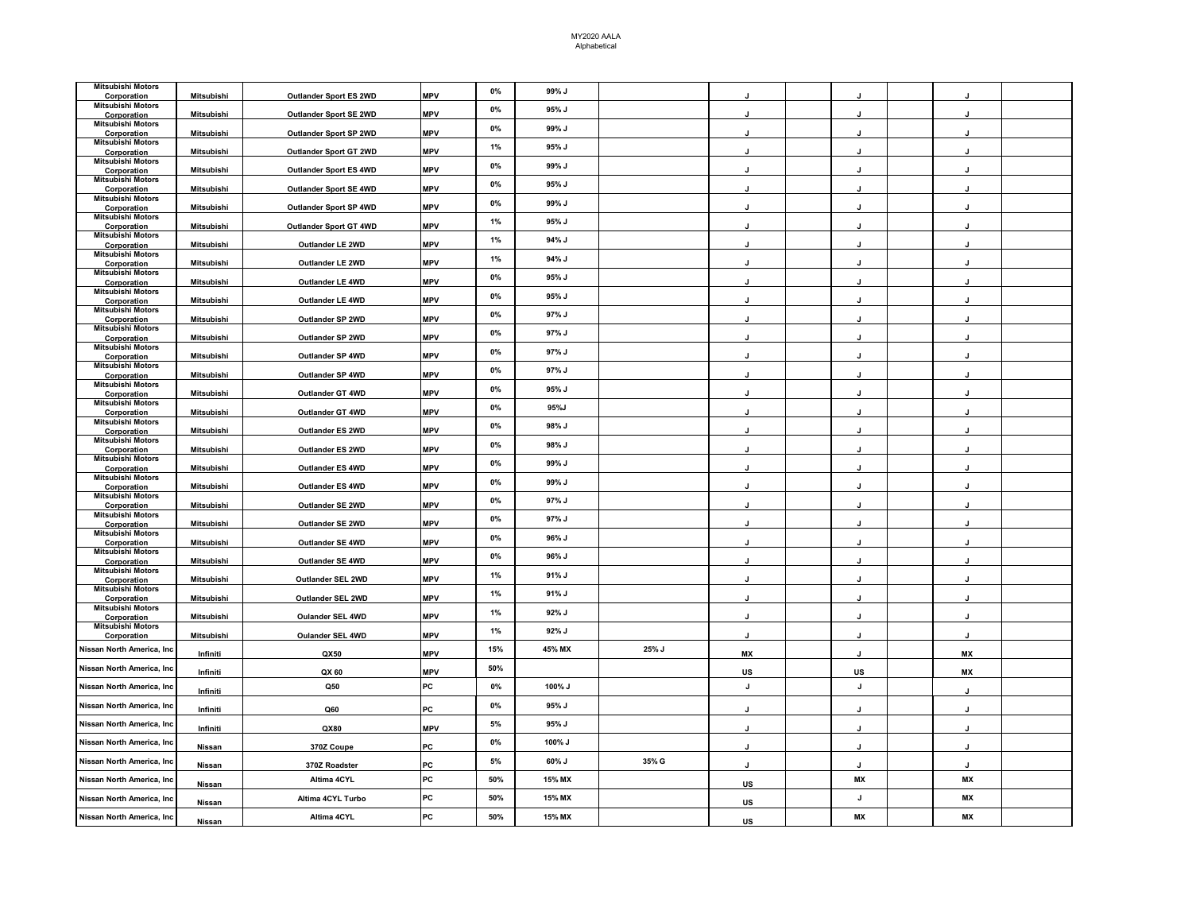| <b>Mitsubishi Motors</b><br>Corporation | Mitsubishi        | Outlander Sport ES 2WD | <b>MPV</b> | 0%    | 99% J  |       |              |                |              |  |
|-----------------------------------------|-------------------|------------------------|------------|-------|--------|-------|--------------|----------------|--------------|--|
| <b>Mitsubishi Motors</b><br>Corporation | Mitsubishi        | Outlander Sport SE 2WD | <b>MPV</b> | 0%    | 95% J  |       |              |                |              |  |
| Mitsubishi Motors<br>Corporation        | Mitsubishi        | Outlander Sport SP 2WD | <b>MPV</b> | $0\%$ | 99% J  |       |              |                |              |  |
| Mitsubishi Motors                       | Mitsubishi        |                        | <b>MPV</b> | 1%    | 95% J  |       |              |                |              |  |
| Corporation<br><b>Mitsubishi Motors</b> |                   | Outlander Sport GT 2WD | <b>MPV</b> | 0%    | 99% J  |       |              |                |              |  |
| Corporation<br><b>Mitsubishi Motors</b> | Mitsubishi        | Outlander Sport ES 4WD | <b>MPV</b> | $0\%$ | 95% J  |       |              |                |              |  |
| Corporation<br><b>Mitsubishi Motors</b> | Mitsubishi        | Outlander Sport SE 4WD |            | $0\%$ | 99% J  |       | $\cdot$      | J              | J            |  |
| Corporation<br>Mitsubishi Motors        | Mitsubishi        | Outlander Sport SP 4WD | <b>MPV</b> | 1%    | 95% J  |       |              |                |              |  |
| Corporation<br>Mitsubishi Motors        | Mitsubishi        | Outlander Sport GT 4WD | <b>MPV</b> |       |        |       |              |                |              |  |
| Corporation<br><b>Mitsubishi Motors</b> | <b>Mitsubishi</b> | Outlander LE 2WD       | <b>MPV</b> | 1%    | 94% J  |       |              |                |              |  |
| Corporation<br><b>Mitsubishi Motors</b> | Mitsubishi        | Outlander LE 2WD       | <b>MPV</b> | 1%    | 94% J  |       |              |                |              |  |
| Corporation<br><b>Mitsubishi Motors</b> | Mitsubishi        | Outlander LE 4WD       | <b>MPV</b> | $0\%$ | 95% J  |       |              |                |              |  |
| Corporation                             | Mitsubishi        | Outlander LE 4WD       | <b>MPV</b> | 0%    | 95% J  |       | J            | J              | $\mathbf{I}$ |  |
| <b>Mitsubishi Motors</b><br>Corporation | Mitsubishi        | Outlander SP 2WD       | <b>MPV</b> | 0%    | 97% J  |       | J.           | J              | $\cdot$      |  |
| Mitsubishi Motors<br>Corporation        | Mitsubishi        | Outlander SP 2WD       | <b>MPV</b> | $0\%$ | 97% J  |       |              |                |              |  |
| <b>Mitsubishi Motors</b><br>Corporation | Mitsubishi        | Outlander SP 4WD       | <b>MPV</b> | $0\%$ | 97% J  |       | J            | J              | $\mathbf{I}$ |  |
| <b>Mitsubishi Motors</b><br>Corporation | Mitsubishi        | Outlander SP 4WD       | <b>MPV</b> | 0%    | 97% J  |       | $\mathbf{I}$ | J              | $\mathbf{I}$ |  |
| Mitsubishi Motors<br>Corporation        | Mitsubishi        | Outlander GT 4WD       | <b>MPV</b> | 0%    | 95% J  |       |              |                |              |  |
| <b>Mitsubishi Motors</b><br>Corporation | <b>Mitsubishi</b> | Outlander GT 4WD       | <b>MPV</b> | $0\%$ | 95%J   |       | J            | J              | $\mathbf{I}$ |  |
| <b>Mitsubishi Motors</b><br>Corporation | Mitsubishi        | Outlander ES 2WD       | <b>MPV</b> | 0%    | 98% J  |       |              |                |              |  |
| <b>Mitsubishi Motors</b>                |                   |                        | <b>MPV</b> | 0%    | 98% J  |       |              |                |              |  |
| Corporation<br><b>Mitsubishi Motors</b> | Mitsubishi        | Outlander ES 2WD       | <b>MPV</b> | 0%    | 99% J  |       |              |                |              |  |
| Corporation<br><b>Mitsubishi Motors</b> | Mitsubishi        | Outlander ES 4WD       | <b>MPV</b> | 0%    | 99% J  |       | $\mathbf{I}$ | $\mathbf{I}$   | $\mathbf{I}$ |  |
| Corporation<br><b>Mitsubishi Motors</b> | Mitsubishi        | Outlander ES 4WD       |            | $0\%$ | 97% J  |       |              |                |              |  |
| Corporation<br><b>Mitsubishi Motors</b> | Mitsubishi        | Outlander SE 2WD       | <b>MPV</b> | 0%    | 97% J  |       | $\mathbf{I}$ | J              | $\mathbf{I}$ |  |
| Corporation<br><b>Mitsubishi Motors</b> | Mitsubishi        | Outlander SE 2WD       | <b>MPV</b> | 0%    |        |       |              |                |              |  |
| Corporation<br><b>Mitsubishi Motors</b> | Mitsubishi        | Outlander SE 4WD       | <b>MPV</b> |       | 96% J  |       | J            | J              | J            |  |
| Corporation<br>Mitsubishi Motors        | Mitsubishi        | Outlander SE 4WD       | <b>MPV</b> | 0%    | 96% J  |       |              |                |              |  |
| Corporation<br><b>Mitsubishi Motors</b> | Mitsubishi        | Outlander SEL 2WD      | <b>MPV</b> | 1%    | 91% J  |       |              |                |              |  |
| Corporation<br><b>Mitsubishi Motors</b> | Mitsubishi        | Outlander SEL 2WD      | <b>MPV</b> | 1%    | 91% J  |       |              |                |              |  |
| Corporation                             | Mitsubishi        | Oulander SEL 4WD       | <b>MPV</b> | 1%    | 92% J  |       |              |                |              |  |
| <b>Mitsubishi Motors</b><br>Corporation | Mitsubishi        | Oulander SEL 4WD       | <b>MPV</b> | 1%    | 92% J  |       |              |                |              |  |
| Nissan North America, Inc               | Infiniti          | QX50                   | <b>MPV</b> | 15%   | 45% MX | 25% J | МX           | J              | МX           |  |
| Nissan North America, Inc               | Infiniti          | QX 60                  | <b>MPV</b> | 50%   |        |       | US           | US             | МX           |  |
| Nissan North America, Inc               | Infiniti          | Q <sub>50</sub>        | PC         | $0\%$ | 100% J |       | J            | J              |              |  |
| Nissan North America, Inc               | Infiniti          | Q60                    | PC         | 0%    | 95% J  |       |              |                |              |  |
| Nissan North America, Inc               | Infiniti          | QX80                   | <b>MPV</b> | $5\%$ | 95% J  |       | $\mathbf{I}$ | $\overline{1}$ | $\mathbf{I}$ |  |
| Nissan North America, Inc               | Nissan            | 370Z Coupe             | PC         | $0\%$ | 100% J |       | J            | J              | J            |  |
| Nissan North America, Inc               | Nissan            | 370Z Roadster          | PC         | $5\%$ | 60% J  | 35% G | J            | J              | J            |  |
| Nissan North America, Inc               | Nissan            | Altima 4CYL            | PC         | 50%   | 15% MX |       | US           | МX             | МX           |  |
| Nissan North America, Inc               | Nissan            | Altima 4CYL Turbo      | PC         | 50%   | 15% MX |       | US           | J              | МX           |  |
| Nissan North America, Inc               | Nissan            | Altima 4CYL            | PC         | 50%   | 15% MX |       | US           | MX             | MX           |  |
|                                         |                   |                        |            |       |        |       |              |                |              |  |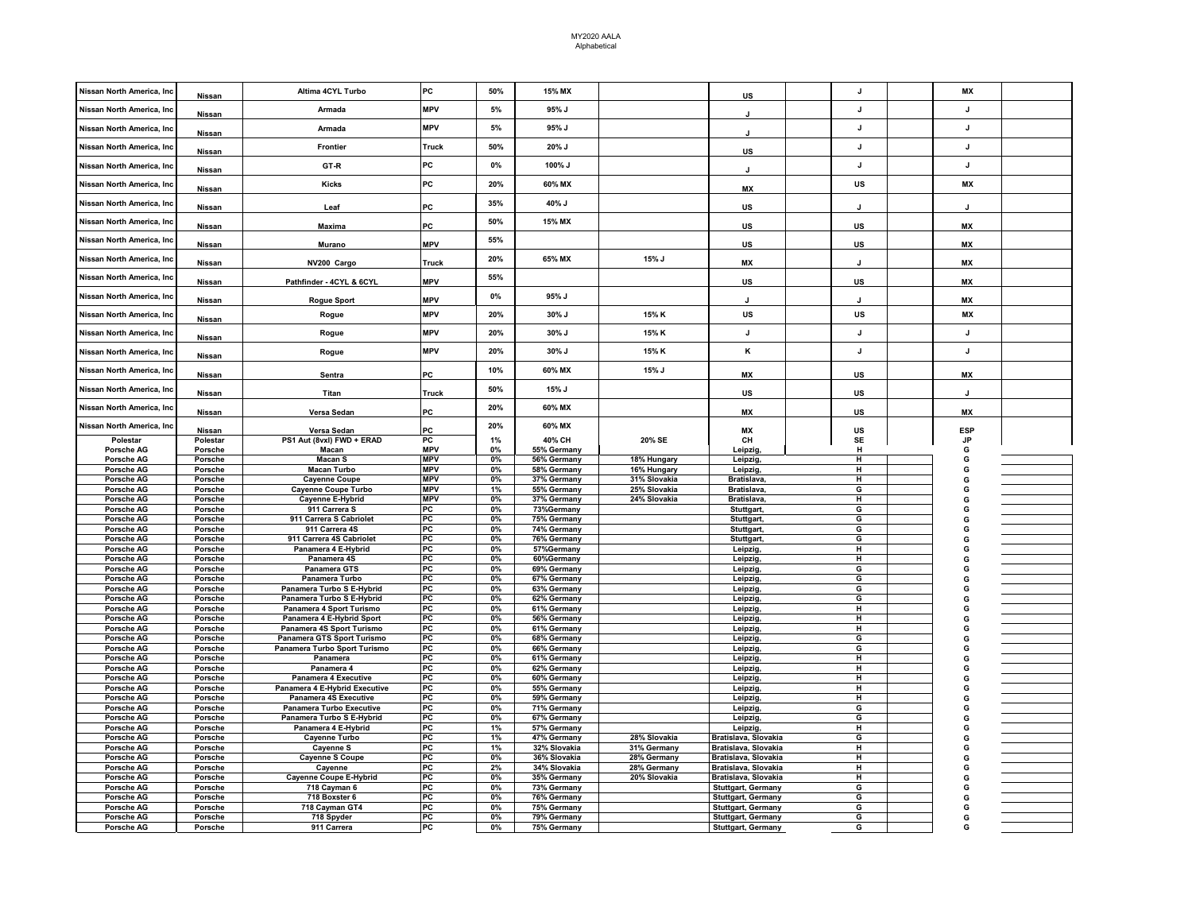| Nissan North America, Inc  | Nissan             | Altima 4CYL Turbo                  | PC           | 50%         | 15% MX                     |              | US                                              |              | МX           |  |
|----------------------------|--------------------|------------------------------------|--------------|-------------|----------------------------|--------------|-------------------------------------------------|--------------|--------------|--|
| Nissan North America, Inc  |                    | Armada                             | <b>MPV</b>   | 5%          | 95% J                      |              |                                                 | $\mathbf{J}$ | $\mathbf{J}$ |  |
| Nissan North America, Inc  | Nissan             | Armada                             | <b>MPV</b>   | 5%          | 95% J                      |              |                                                 | J            | J            |  |
|                            | Nissan             |                                    |              | 50%         |                            |              | J                                               | J            | J            |  |
| Nissan North America, Inc  | Nissan             | <b>Frontier</b>                    | Truck        |             | 20% J                      |              | US                                              |              |              |  |
| Nissan North America, Ind  | Nissan             | GT-R                               | PC           | 0%          | 100% J                     |              |                                                 | $\mathbf{I}$ | $\mathbf{I}$ |  |
| Nissan North America, Inc  | Nissan             | Kicks                              | PC           | 20%         | 60% MX                     |              | МX                                              | <b>US</b>    | MX           |  |
| Nissan North America, Inc  | Nissan             | Leaf                               | PC           | 35%         | 40% J                      |              | US                                              |              | J            |  |
| Nissan North America, Inc  | Nissan             | <b>Maxima</b>                      | PC           | 50%         | 15% MX                     |              | <b>US</b>                                       | <b>US</b>    | <b>MX</b>    |  |
| Nissan North America, Inc. | Nissan             | Murano                             | <b>MPV</b>   | 55%         |                            |              | US                                              | US           | МX           |  |
| Nissan North America, Inc  | Nissan             | NV200 Cargo                        | <b>Truck</b> | 20%         | 65% MX                     | 15% J        | MX                                              |              | MX           |  |
| Nissan North America, Inc  | Nissan             | Pathfinder - 4CYL & 6CYL           | <b>MPV</b>   | 55%         |                            |              | US                                              | <b>US</b>    | <b>MX</b>    |  |
| Nissan North America, Inc  | Nissan             | <b>Rogue Sport</b>                 | <b>MPV</b>   | $0\%$       | 95% J                      |              | J                                               | $\cdot$      | МX           |  |
| Nissan North America, Inc  | Nissan             | Rogue                              | <b>MPV</b>   | 20%         | 30% J                      | 15% K        | US                                              | US           | MX           |  |
| Nissan North America, Inc  | <b>Nissan</b>      | Rogue                              | <b>MPV</b>   | 20%         | 30% J                      | 15% K        | J                                               | J            | J.           |  |
| Nissan North America, Inc  | Nissan             | Rogue                              | <b>MPV</b>   | 20%         | 30% J                      | 15% K        | κ                                               | J            | $\mathbf{J}$ |  |
| Nissan North America. Inc  | Nissan             | Sentra                             | PC           | 10%         | 60% MX                     | 15% J        | MX                                              | US           | <b>MX</b>    |  |
| Nissan North America, Inc  | Nissan             | Titan                              | <b>Truck</b> | 50%         | 15% J                      |              | <b>US</b>                                       | <b>US</b>    |              |  |
| Nissan North America, Inc  | Nissan             | Versa Sedan                        | PC           | 20%         | 60% MX                     |              | MX                                              | US           | МX           |  |
| Nissan North America, Inc  | Nissan             | Versa Sedan                        | PC           | 20%         | 60% MX                     |              | MX                                              | US           | <b>ESP</b>   |  |
| Polestar                   | Polestar           | PS1 Aut (8vxl) FWD + ERAD          | PC           | 1%          | 40% CH                     | 20% SE       | CН                                              | SE           | JP           |  |
| <b>Porsche AG</b>          | Porsche            | Macan                              | <b>MPV</b>   | 0%          | 55% Germany                |              | Leipzig,                                        | н            | G            |  |
| Porsche AG                 | Porsche            | Macan S                            | <b>MPV</b>   | 0%          | 56% Germany                | 18% Hungary  | Leipzig,                                        | н            | G            |  |
| <b>Porsche AG</b>          | Porsche            | <b>Macan Turbo</b>                 | <b>MPV</b>   | 0%          | 58% Germany                | 16% Hungary  | Leipzig,                                        | н            | G            |  |
| <b>Porsche AG</b>          | Porsche            | <b>Cayenne Coupe</b>               | <b>MPV</b>   | 0%          | 37% Germany                | 31% Slovakia | Bratislava.                                     | н            | G            |  |
| Porsche AG                 | Porsche            | <b>Cayenne Coupe Turbo</b>         | <b>MPV</b>   | 1%          | 55% Germany                | 25% Slovakia | Bratislava,                                     | G            | G            |  |
| Porsche AG                 | Porsche            | Cayenne E-Hybrid                   | <b>MPV</b>   | 0%          | 37% Germany                | 24% Slovakia | Bratislava,                                     | н            | G            |  |
| Porsche AG                 | Porsche            | 911 Carrera S                      | PC           | $0\%$       | 73%Germany                 |              | Stuttgart,                                      | G            | G            |  |
| Porsche AG                 | Porsche            | 911 Carrera S Cabriolet            | PC           | $0\%$       | 75% Germany                |              | Stuttgart,                                      | G            | G            |  |
| Porsche AG                 | Porsche            | 911 Carrera 4S                     | PC<br>PC     | $0\%$       | 74% Germany                |              | Stuttgart,                                      | G<br>G       | G            |  |
| Porsche AG                 | Porsche            | 911 Carrera 4S Cabriolet           | PC           | $0\%$<br>0% | 76% Germany                |              | Stuttgart,                                      | н            | G<br>G       |  |
| Porsche AG<br>Porsche AG   | Porsche<br>Porsche | Panamera 4 E-Hybrid<br>Panamera 4S | PC           | 0%          | 57%Germany<br>60%Germany   |              | Leipzig,<br>Leipzig,                            | н            | G            |  |
| <b>Porsche AG</b>          | Porsche            | Panamera GTS                       | PC           | $0\%$       | 69% Germany                |              | Leipzig,                                        | G            | G            |  |
| Porsche AG                 | Porsche            | Panamera Turbo                     | PC           | $0\%$       | 67% Germany                |              | Leipzig,                                        | G            | G            |  |
| Porsche AG                 | Porsche            | Panamera Turbo S E-Hybrid          | PC           | 0%          | 63% Germany                |              | Leipzig,                                        | G            | G            |  |
| Porsche AG                 | Porsche            | Panamera Turbo S E-Hybrid          | PC           | 0%          | 62% Germany                |              | Leipzig,                                        | G            | G            |  |
| Porsche AG                 | Porsche            | Panamera 4 Sport Turismo           | PC           | 0%          | 61% Germany                |              | Leipzig,                                        | н            | G            |  |
| Porsche AG                 | Porsche            | Panamera 4 E-Hybrid Sport          | PC           | 0%          | 56% Germany                |              | Leipzig,                                        | н            |              |  |
| Porsche AG                 | Porsche            | Panamera 4S Sport Turismo          | PC           | 0%          | 61% Germany                |              | Leipzig,                                        | н            |              |  |
| Porsche AG                 | Porsche            | Panamera GTS Sport Turismo         | PC           | $0\%$       | 68% Germany                |              | Leipzig,                                        | G            |              |  |
| Porsche AG                 | Porsche            | Panamera Turbo Sport Turismo       | PC           | $0\%$       | 66% Germany                |              | Leipzig,                                        | G            |              |  |
| Porsche AG                 | Porsche            | Panamera                           | PC           | $0\%$       | 61% Germany                |              | Leipzig,                                        | н            |              |  |
| Porsche AG                 | Porsche            | Panamera 4                         | <b>PC</b>    | $0\%$       | 62% Germany                |              | Leipzig,                                        | н            | G            |  |
| Porsche AG                 | Porsche            | Panamera 4 Executive               | PC           | $0\%$       | 60% Germany                |              | Leipzig,                                        | н            | G            |  |
| Porsche AG                 | Porsche            | Panamera 4 E-Hybrid Executive      | PC           | $0\%$       | 55% Germany                |              | Leipzig                                         | н            | G            |  |
| Porsche AG                 | Porsche            | Panamera 4S Executive              | <b>PC</b>    | 0%          | 59% Germany                |              | Leipzig,                                        | н            | G            |  |
| Porsche AG                 |                    |                                    |              | 0%          | 71% Germany                |              | Leipzig,                                        | G            | G            |  |
|                            | Porsche            | Panamera Turbo Executive           | PC           |             |                            |              |                                                 |              |              |  |
| Porsche AG                 | Porsche            | Panamera Turbo S E-Hybrid          | PC           | 0%          | 67% Germany                |              | Leipzig,                                        | G            | G            |  |
| Porsche AG                 | Porsche            | Panamera 4 E-Hybrid                | PC           | 1%          | 57% Germany                |              | Leipzig,                                        | н            | G            |  |
| Porsche AG                 | Porsche            | Cayenne Turbo                      | PC           | 1%          | 47% Germany                | 28% Slovakia | Bratislava, Slovakia                            | G            | G            |  |
| Porsche AG                 | Porsche            | Cayenne S                          | PC           | 1%          | 32% Slovakia               | 31% Germany  | Bratislava, Slovakia                            | н            | G            |  |
| Porsche AG                 | Porsche            | <b>Cayenne S Coupe</b>             | PC           | 0%          | 36% Slovakia               | 28% Germany  | Bratislava, Slovakia                            | н            |              |  |
| Porsche AG                 | Porsche            | Cayenne                            | PC           | 2%          | 34% Slovakia               | 28% Germany  | Bratislava, Slovakia                            | н            |              |  |
| Porsche AG                 | Porsche            | <b>Cayenne Coupe E-Hybrid</b>      | PC           | 0%          | 35% Germany                | 20% Slovakia | Bratislava, Slovakia                            | н            |              |  |
| Porsche AG                 | Porsche            | 718 Cayman 6                       | PC           | 0%          | 73% Germany                |              | Stuttgart, Germany                              | G            |              |  |
| Porsche AG                 | Porsche            | 718 Boxster 6                      | PC           | 0%          | 76% Germany                |              | Stuttgart, Germany                              | G            | G            |  |
| Porsche AG                 | Porsche            | 718 Cayman GT4                     | PC           | 0%          | 75% Germany                |              | <b>Stuttgart, Germany</b>                       | G            | G<br>G       |  |
| Porsche AG<br>Porsche AG   | Porsche<br>Porsche | 718 Spyder<br>911 Carrera          | PC<br>PC     | $0\%$<br>0% | 79% Germany<br>75% Germany |              | Stuttgart, Germany<br><b>Stuttgart, Germany</b> | G<br>G       |              |  |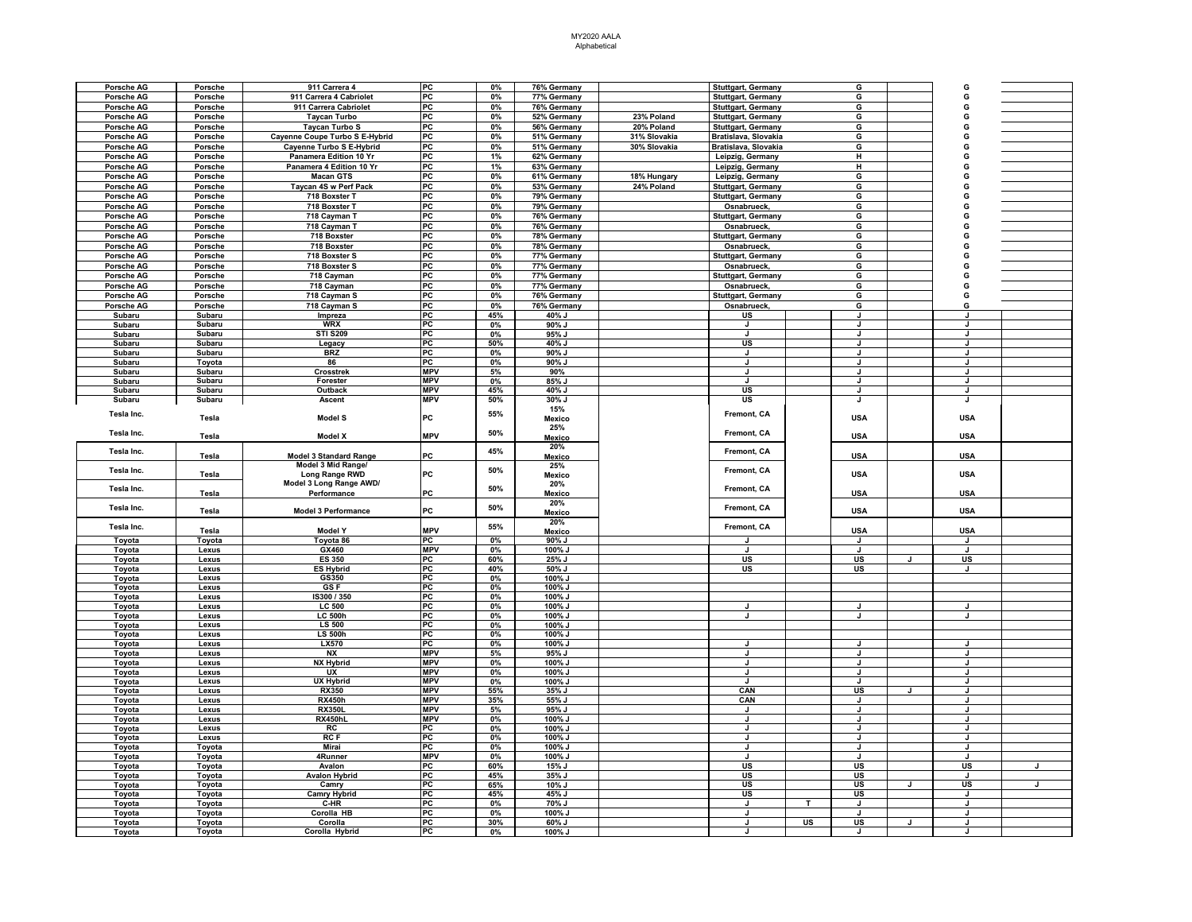| Porsche AG        | Porsche          | 911 Carrera 4                  | PC               | 0%       | 76% Germany       |              | Stuttgart, Germany        |           | G                  |              |              |  |
|-------------------|------------------|--------------------------------|------------------|----------|-------------------|--------------|---------------------------|-----------|--------------------|--------------|--------------|--|
| Porsche AG        | Porsche          | 911 Carrera 4 Cabriolet        | PC               | 0%       | 77% Germany       |              | Stuttgart, Germany        |           | G                  |              | G            |  |
| Porsche AG        | Porsche          | 911 Carrera Cabriolet          | $_{\rm PC}$      | $0\%$    | 76% Germany       |              | Stuttgart, Germany        |           | G                  |              | G            |  |
| Porsche AG        | Porsche          | <b>Taycan Turbo</b>            | $P_{\rm C}$      | 0%       | 52% Germany       | 23% Poland   | Stuttgart, Germany        |           | G                  |              | G            |  |
| Porsche AG        | Porsche          | Taycan Turbo S                 | P <sub>C</sub>   | $0\%$    | 56% Germany       | 20% Poland   | Stuttgart, Germany        |           | G                  |              | G            |  |
| Porsche AG        | Porsche          | Cayenne Coupe Turbo S E-Hybrid | P <sub>C</sub>   | 0%       | 51% Germany       | 31% Slovakia | Bratislava, Slovakia      |           | G                  |              | G            |  |
| Porsche AG        | Porsche          | Cayenne Turbo S E-Hybrid       | P <sub>C</sub>   | 0%       | 51% Germany       | 30% Slovakia | Bratislava, Slovakia      |           | G                  |              | G            |  |
| Porsche AG        | Porsche          | Panamera Edition 10 Yr         | PC               | 1%       | 62% Germany       |              |                           |           | н                  |              | G            |  |
|                   |                  |                                |                  |          |                   |              | Leipzig, Germany          |           |                    |              |              |  |
| Porsche AG        | Porsche          | Panamera 4 Edition 10 Yr       | PC               | 1%       | 63% Germany       |              | Leipzig, Germany          |           | н                  |              | G            |  |
| Porsche AG        | Porsche          | <b>Macan GTS</b>               | PC               | $0\%$    | 61% Germany       | 18% Hungary  | Leipzig, Germany          |           | G                  |              | G            |  |
| Porsche AG        | Porsche          | Taycan 4S w Perf Pack          | PC               | $0\%$    | 53% Germany       | 24% Poland   | Stuttgart, Germany        |           | G                  |              | G            |  |
| Porsche AG        | Porsche          | 718 Boxster T                  | PC               | $0\%$    | 79% Germany       |              | <b>Stuttgart, Germany</b> |           | G                  |              | G            |  |
| Porsche AG        | Porsche          | 718 Boxster T                  | $P_{\rm C}$      | 0%       | 79% Germany       |              | Osnabrueck,               |           | G                  |              | G            |  |
| <b>Porsche AG</b> | Porsche          | 718 Cayman T                   | $P_{\rm C}$      | 0%       | 76% Germany       |              | <b>Stuttgart, Germany</b> |           | G                  |              | G            |  |
| Porsche AG        | Porsche          | 718 Cayman T                   | P <sub>C</sub>   | 0%       | 76% Germany       |              | Osnabrueck,               |           | G                  |              | G            |  |
| Porsche AG        | Porsche          | 718 Boxster                    | $P_{\rm C}$      | 0%       | 78% Germany       |              | <b>Stuttgart, Germany</b> |           | G                  |              | G            |  |
| Porsche AG        | Porsche          | 718 Boxster                    | $P_{\rm C}$      | 0%       | 78% Germany       |              | Osnabrueck,               |           | G                  |              | G            |  |
| Porsche AG        | Porsche          | 718 Boxster S                  | PC               | $0\%$    | 77% Germany       |              | Stuttgart, Germany        |           | G                  |              | G            |  |
| Porsche AG        | Porsche          | 718 Boxster S                  | PC               | 0%       | 77% Germany       |              | Osnabrueck,               |           | G                  |              | G            |  |
| Porsche AG        | Porsche          | 718 Cayman                     | $_{\rm PC}$      | 0%       | 77% Germany       |              | Stuttgart, Germany        |           | G                  |              | G            |  |
| Porsche AG        | Porsche          | 718 Cayman                     | PC               | 0%       | 77% Germany       |              | Osnabrueck,               |           | G                  |              | G            |  |
| <b>Porsche AG</b> | Porsche          | 718 Cayman S                   | PC               | $0\%$    | 76% Germany       |              | <b>Stuttgart, Germany</b> |           | G                  |              | G            |  |
| Porsche AG        | Porsche          | 718 Cayman S                   | PC               | 0%       | 76% Germany       |              | Osnabrueck,               |           | G                  |              | G            |  |
|                   | Subaru           | Impreza                        | PC               | 45%      | 40% J             |              | US                        |           | J                  |              | J            |  |
| Subaru            |                  |                                |                  |          |                   |              |                           |           | J                  |              |              |  |
| Subaru            | Subaru           | <b>WRX</b>                     | PC               | 0%<br>0% | 90% J             |              | J<br>J.                   |           | J                  |              | J<br>J.      |  |
| Subaru            | Subaru<br>Subaru | <b>STI S209</b>                | PC<br>PC         |          | 95% J             |              | US                        |           | J                  |              | J            |  |
| Subaru            |                  | Legacy                         | PC               | 50%      | 40% J<br>$90\%$ J |              | J                         |           | $\mathbf{I}$       |              |              |  |
| Subaru            | Subaru           | <b>BRZ</b>                     |                  | 0%       |                   |              |                           |           | $\mathbf{I}$       |              | $\mathbf{I}$ |  |
| Subaru            | Toyota           | 86<br>Crosstrek                | PC<br><b>MPV</b> | 0%<br>5% | 90% J             |              | J<br>$\mathbf{I}$         |           | T                  |              | J.           |  |
| Subaru            | Subaru           |                                |                  |          | 90%               |              | $\cdot$                   |           |                    |              | $\mathbf{J}$ |  |
| Subaru            | Subaru           | Forester                       | <b>MPV</b>       | 0%       | 85% J             |              |                           |           | J                  |              |              |  |
| Subaru            | Subaru           | Outback                        | <b>MPV</b>       | 45%      | 40% J             |              | US<br><b>US</b>           |           | J                  |              | Ū            |  |
| Subaru            | Subaru           | Ascent                         | <b>MPV</b>       | 50%      | 30% J             |              |                           |           | J.                 |              | J            |  |
| Tesla Inc.        |                  |                                | PC               | 55%      | 15%               |              | Fremont, CA               |           | <b>USA</b>         |              | <b>USA</b>   |  |
|                   | Tesla            | Model S                        |                  |          | Mexico            |              |                           |           |                    |              |              |  |
| Tesla Inc.        | Tesla            | <b>Model X</b>                 | <b>MPV</b>       | 50%      | 25%               |              | Fremont, CA               |           | <b>USA</b>         |              | <b>USA</b>   |  |
|                   |                  |                                |                  |          | Mexico            |              |                           |           |                    |              |              |  |
| Tesla Inc.        |                  | <b>Model 3 Standard Range</b>  | PC               | 45%      | 20%               |              | <b>Fremont, CA</b>        |           |                    |              |              |  |
|                   | Tesla            |                                |                  |          | Mexico            |              |                           |           | <b>USA</b>         |              | <b>USA</b>   |  |
| Tesla Inc.        |                  | Model 3 Mid Range/             | PC               | 50%      | 25%               |              | Fremont, CA               |           |                    |              |              |  |
|                   | Tesla            | Long Range RWD                 |                  |          | <b>Mexico</b>     |              |                           |           | <b>USA</b>         |              | <b>USA</b>   |  |
| Tesla Inc.        |                  | Model 3 Long Range AWD/        |                  | 50%      | 20%               |              | Fremont, CA               |           |                    |              |              |  |
|                   | Tesla            | Performance                    | PC               |          | Mexico            |              |                           |           | USA                |              | <b>USA</b>   |  |
| Tesla Inc.        | Tesla            |                                | PC               | 50%      | 20%               |              | Fremont, CA               |           |                    |              | <b>USA</b>   |  |
|                   |                  | <b>Model 3 Performance</b>     |                  |          | Mexico            |              |                           |           | <b>USA</b>         |              |              |  |
| Tesla Inc.        |                  |                                |                  | 55%      | 20%               |              | Fremont, CA               |           |                    |              |              |  |
|                   | Tesla            | <b>Model Y</b>                 | <b>MPV</b>       |          | <b>Mexico</b>     |              |                           |           | <b>USA</b>         |              | <b>USA</b>   |  |
| Toyota            | Toyota           | Toyota 86                      | $P$ C            | 0%       | 90% J             |              | J.                        |           | $\mathbf{J}$       |              | J.           |  |
| Toyota            | Lexus            | GX460                          | <b>MPV</b>       | 0%       | 100% J            |              |                           |           | J.                 |              | $\mathbf{J}$ |  |
| Toyota            | Lexus            | <b>ES 350</b>                  | PC               | 60%      | 25% J             |              | US                        |           | US                 | J            | US           |  |
| Toyota            | Lexus            | <b>ES Hybrid</b>               | PC               | 40%      | 50% J             |              | US                        |           | US                 |              | J            |  |
| Toyota            | Lexus            | GS350                          | PC               | 0%       | 100% J            |              |                           |           |                    |              |              |  |
| Toyota            | Lexus            | GS F                           | PC               | 0%       | 100% J            |              |                           |           |                    |              |              |  |
| Toyota            | Lexus            | IS300 / 350                    | PC               | 0%       | 100% J            |              |                           |           |                    |              |              |  |
| Toyota            | Lexus            | <b>LC 500</b>                  | PC               | 0%       | 100% J            |              | $\mathbf{I}$              |           | $\mathbf{I}$       |              | $\mathbf{I}$ |  |
| Toyota            | Lexus            | <b>LC 500h</b>                 | PC               | 0%       | 100% J            |              | $\mathbf{J}$              |           | $\mathbf{J}$       |              | $\cdot$      |  |
| Toyota            | Lexus            | LS 500                         | PC               | 0%       | 100% J            |              |                           |           |                    |              |              |  |
| Toyota            | Lexus            | <b>LS 500h</b>                 | PC               | 0%       | 100% J            |              |                           |           |                    |              |              |  |
| Toyota            | Lexus            | <b>LX570</b>                   | PC<br><b>MPV</b> | 0%       | 100% J            |              | J                         |           | J.<br>$\mathbf{J}$ |              | л            |  |
| Toyota            | Lexus            | <b>NX</b>                      |                  | 5%       | 95% J             |              | J.                        |           | $\mathbf{I}$       |              | $\mathbf{J}$ |  |
| Toyota            | Lexus            | <b>NX Hybrid</b>               | <b>MPV</b>       | 0%       | 100% J            |              | $\mathbf{I}$              |           |                    |              | $\mathbf{I}$ |  |
| Toyota            | Lexus            | UX                             | <b>MPV</b>       | 0%       | 100% J            |              | J                         |           | J                  |              | J            |  |
| Toyota            | Lexus            | <b>UX Hybrid</b>               | <b>MPV</b>       | 0%       | 100% J            |              | J                         |           | J                  |              | J            |  |
| Toyota            | Lexus            | <b>RX350</b>                   | <b>MPV</b>       | 55%      | 35% J             |              | CAN                       |           | <b>US</b>          | $\mathbf{J}$ | J.           |  |
| Toyota            | Lexus            | <b>RX450h</b>                  | <b>MPV</b>       | 35%      | 55% J             |              | CAN                       |           | J                  |              |              |  |
| Toyota            | Lexus            | <b>RX350L</b>                  | <b>MPV</b>       | 5%       | 95% J             |              | J                         |           | J<br>$\mathbf{I}$  |              | J            |  |
| Toyota            | Lexus            | RX450hL                        | <b>MPV</b>       | 0%       | 100% J            |              | $\mathbf{J}$              |           |                    |              | $\mathbf{I}$ |  |
| Toyota            | Lexus            | RC                             | PC               | 0%       | 100% J            |              | J                         |           | $\cdot$            |              | $\mathbf{I}$ |  |
| Toyota            | Lexus            | RC F                           | PC               | 0%       | 100% J            |              | J                         |           | J                  |              | $\mathbf{J}$ |  |
| Toyota            | Toyota           | Mirai                          | <b>PC</b>        | 0%       | $100%$ J          |              | $\cdot$                   |           | $\mathbf{I}$       |              | $\cdot$      |  |
| Toyota            | Toyota           | 4Runner                        | <b>MPV</b>       | 0%       | 100% J            |              | IJ                        |           |                    |              |              |  |
| Toyota            | Toyota           | Avalon                         | PC               | 60%      | 15% J             |              | US                        |           | US                 |              | US           |  |
| Toyota            | <b>Toyota</b>    | <b>Avalon Hybrid</b>           | PC               | 45%      | 35% J             |              | <b>US</b>                 |           | <b>US</b>          |              | J.           |  |
| Toyota            | Toyota           | Camry                          | PC               | 65%      | 10% J             |              | US                        |           | US                 | J            | US           |  |
| Toyota            | Toyota           | <b>Camry Hybrid</b>            | PC               | 45%      | 45% J             |              | US                        |           | US                 |              | J            |  |
| Toyota            | <b>Toyota</b>    | C-HR                           | PC               | 0%       | 70% J             |              | J.                        | T         | J.                 |              | J.           |  |
| Toyota            | Toyota           | Corolla HB                     | PC               | 0%       | 100% J            |              | J                         |           | J                  |              | J            |  |
| Toyota            | Toyota           | Corolla                        | PC<br>PC         | 30%      | 60% J             |              | $\mathbf{I}$              | <b>US</b> | US                 |              |              |  |
| Toyota            | Toyota           | Corolla Hybrid                 |                  | 0%       | 100%              |              |                           |           |                    |              |              |  |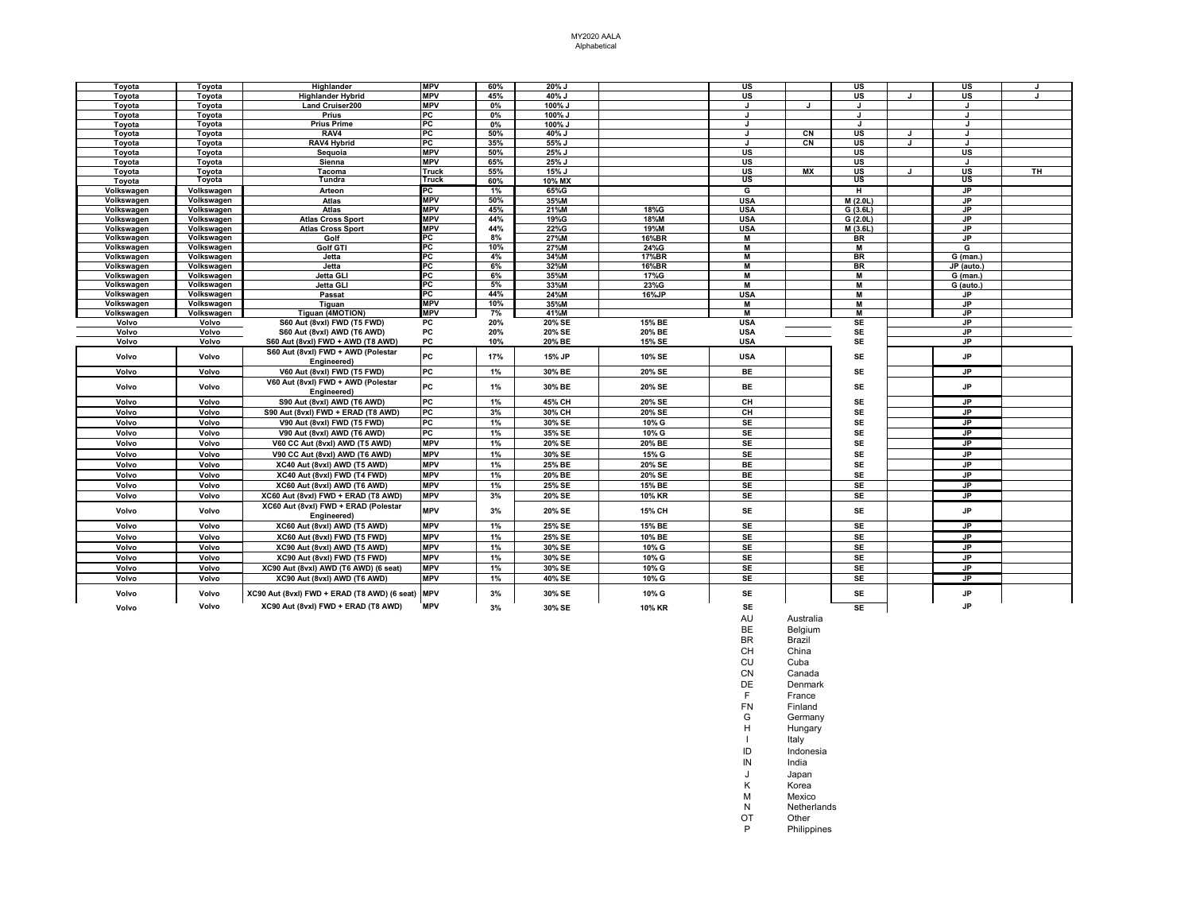| <b>MPV</b><br>60%<br>20% J<br><b>US</b><br>Toyota<br>Toyota<br>Highlander<br>US<br>US<br><b>Highlander Hybrid</b><br><b>MPV</b><br>45%<br>US<br>US<br><b>US</b><br>Tovota<br>Toyota<br>40% J<br>$\overline{1}$<br><b>Land Cruiser200</b><br><b>MPV</b><br>100% J<br>Tovota<br>Tovota<br>0%<br>J<br>л<br>PC<br>0%<br>100% J<br>Toyota<br>Toyota<br>Prius<br>$\cdot$ |    |
|--------------------------------------------------------------------------------------------------------------------------------------------------------------------------------------------------------------------------------------------------------------------------------------------------------------------------------------------------------------------|----|
|                                                                                                                                                                                                                                                                                                                                                                    |    |
|                                                                                                                                                                                                                                                                                                                                                                    |    |
|                                                                                                                                                                                                                                                                                                                                                                    |    |
| PC<br><b>Prius Prime</b><br>100% J<br>Toyota<br>Toyota<br>0%<br>J<br>J<br>J                                                                                                                                                                                                                                                                                        |    |
| RAV4<br>PC<br>50%<br>40% J<br>CN<br><b>US</b><br>Tovota<br>Tovota<br>J<br>$\cdot$                                                                                                                                                                                                                                                                                  |    |
| <b>RAV4 Hybrid</b><br>PC<br><b>CN</b><br><b>US</b><br>Toyota<br>35%<br>55% J<br>J<br>J<br>Toyota                                                                                                                                                                                                                                                                   |    |
| <b>MPV</b><br>25% J<br><b>US</b><br><b>US</b><br><b>US</b><br>Toyota<br>Toyota<br>Sequoia<br>50%                                                                                                                                                                                                                                                                   |    |
| <b>MPV</b><br>25% J<br><b>US</b><br><b>US</b><br>Sienna<br>65%<br>Toyota<br>Toyota                                                                                                                                                                                                                                                                                 |    |
| <b>US</b><br><b>MX</b><br><b>US</b><br>Toyota<br>Tacoma<br>Truck<br>55%<br>15% J<br>US<br>Toyota<br>$\cdot$                                                                                                                                                                                                                                                        | TH |
| US<br>US<br>Toyota<br>Tundra<br>Truck<br>US<br>60%<br>10% MX<br>Tovota                                                                                                                                                                                                                                                                                             |    |
| PC<br>JP<br>Arteon<br>65%G<br>G<br>Volkswagen<br>Volkswagen<br>1%<br>н                                                                                                                                                                                                                                                                                             |    |
| <b>MPV</b><br>Volkswagen<br>Volkswagen<br>Atlas<br>50%<br>35%M<br><b>USA</b><br>M(2.0L)<br>JP.                                                                                                                                                                                                                                                                     |    |
| <b>MPV</b><br><b>JP</b><br>45%<br>21%M<br>18%G<br><b>USA</b><br>G(3.6L)<br>Volkswagen<br>Volkswagen<br>Atlas                                                                                                                                                                                                                                                       |    |
| <b>MPV</b><br>44%<br>18%M<br>Volkswagen<br>Volkswagen<br>19%G<br><b>USA</b><br>G(2.0L)<br><b>JP</b><br><b>Atlas Cross Sport</b>                                                                                                                                                                                                                                    |    |
| <b>MPV</b><br>22%G<br>19%M<br><b>USA</b><br>Volkswagen<br>Volkswagen<br><b>Atlas Cross Sport</b><br>44%<br>M (3.6L)<br>JP.                                                                                                                                                                                                                                         |    |
| РC<br>8%<br>Volkswagen<br>Volkswagen<br>Golf<br>27%M<br>16%BR<br>м<br><b>BR</b><br><b>JP</b>                                                                                                                                                                                                                                                                       |    |
| PC<br>10%<br>24%G<br>Volkswagen<br>Volkswagen<br>Golf GTI<br>27%M<br>M<br>G                                                                                                                                                                                                                                                                                        |    |
| PC<br>34%M<br>17%BR<br>M<br><b>BR</b><br>Volkswagen<br>Volkswagen<br>Jetta<br>4%<br>$\overline{G}$ (man.)                                                                                                                                                                                                                                                          |    |
| PC<br>6%<br>32%M<br>М<br>Volkswagen<br>Volkswagen<br>Jetta<br>16%BR<br><b>BR</b><br>JP (auto.)                                                                                                                                                                                                                                                                     |    |
| PC<br>6%<br>Volkswagen<br>Volkswagen<br><b>Jetta GLI</b><br>35%M<br>17%G<br>м<br>M<br>G (man.)                                                                                                                                                                                                                                                                     |    |
| PC<br>33%M<br>23%G<br>$\blacksquare$<br>Volkswagen<br>Volkswagen<br><b>Jetta GLI</b><br>5%<br>м<br>G (auto.                                                                                                                                                                                                                                                        |    |
| PC<br>44%<br><b>USA</b><br>Volkswagen<br>Volkswagen<br>24%M<br>16%JP<br>Passat<br>JP.                                                                                                                                                                                                                                                                              |    |
| <b>MPV</b><br>10%<br>Volkswagen<br>Volkswagen<br>Tiguan<br>35%M<br>M<br><b>JP</b><br>м                                                                                                                                                                                                                                                                             |    |
| Tiguan (4MOTION)<br><b>MPV</b><br>41%M<br>м<br><b>JP</b><br>Volkswagen<br>Volkswagen<br>7%<br>м                                                                                                                                                                                                                                                                    |    |
| Volvo<br>Volvo<br>PC<br>20%<br>20% SE<br>15% BE<br><b>USA</b><br><b>SE</b><br><b>JP</b><br>S60 Aut (8vxl) FWD (T5 FWD)                                                                                                                                                                                                                                             |    |
| <b>SE</b><br><b>JP</b><br>Volvo<br>Volvo<br><b>PC</b><br>20%<br>20% SE<br><b>USA</b><br>S60 Aut (8vxl) AWD (T6 AWD)<br>20% BE                                                                                                                                                                                                                                      |    |
| <b>SE</b><br>20% BE<br>15% SE<br><b>JP</b><br>Volvo<br>Volvo<br>S60 Aut (8vxl) FWD + AWD (T8 AWD)<br>PC<br>10%<br><b>USA</b>                                                                                                                                                                                                                                       |    |
| S60 Aut (8vxl) FWD + AWD (Polestar<br>PC<br><b>JP</b><br>17%<br>15% JP<br>10% SE<br><b>USA</b><br><b>SE</b><br>Volvo<br>Volvo<br>Engineered)                                                                                                                                                                                                                       |    |
| PC<br>Volvo<br>Volvo<br>V60 Aut (8vxl) FWD (T5 FWD)<br>1%<br>30% BE<br>20% SE<br>BE<br><b>SE</b><br>.IP                                                                                                                                                                                                                                                            |    |
| V60 Aut (8vxl) FWD + AWD (Polestar<br>PC<br>Volvo<br>30% BE<br>20% SE<br><b>BE</b><br><b>SE</b><br><b>JP</b><br>Volvo<br>1%<br>Engineered)                                                                                                                                                                                                                         |    |
| PC<br>20% SE<br>Volvo<br>1%<br>45% CH<br>CH<br><b>SE</b><br><b>JP</b><br>Volvo<br>S90 Aut (8vxl) AWD (T6 AWD)                                                                                                                                                                                                                                                      |    |
| PC<br>3%<br>30% CH<br>20% SE<br>CH<br><b>SE</b><br><b>JP</b><br>Volvo<br>Volvo<br>S90 Aut (8vxl) FWD + ERAD (T8 AWD)                                                                                                                                                                                                                                               |    |
| PC<br>1%<br>30% SE<br>10% G<br><b>SE</b><br><b>JP</b><br>Volvo<br>Volvo<br>V90 Aut (8vxl) FWD (T5 FWD)<br>SE                                                                                                                                                                                                                                                       |    |
| PC<br>SE<br><b>JP</b><br>Volvo<br>Volvo<br>1%<br>35% SE<br>10% G<br>SE<br>V90 Aut (8vxl) AWD (T6 AWD)                                                                                                                                                                                                                                                              |    |
| 20% BE<br><b>SE</b><br>Volvo<br><b>MPV</b><br>1%<br>20% SE<br>SE<br><b>JP</b><br>Volvo<br>V60 CC Aut (8vxl) AWD (T5 AWD)                                                                                                                                                                                                                                           |    |
| <b>MPV</b><br>SE<br><b>JP</b><br>Volvo<br>Volvo<br>1%<br>30% SE<br>15% G<br>SE<br>V90 CC Aut (8vxl) AWD (T6 AWD)                                                                                                                                                                                                                                                   |    |
| <b>MPV</b><br>25% BE<br>20% SE<br><b>BE</b><br><b>SE</b><br>Volvo<br>Volvo<br>1%<br><b>JP</b><br>XC40 Aut (8vxl) AWD (T5 AWD)                                                                                                                                                                                                                                      |    |
| <b>MPV</b><br>20% BE<br>20% SE<br><b>BE</b><br><b>SE</b><br><b>JP</b><br>Volvo<br>Volvo<br>XC40 Aut (8vxl) FWD (T4 FWD)<br>1%                                                                                                                                                                                                                                      |    |
| <b>MPV</b><br>25% SE<br>15% BE<br><b>SE</b><br><b>SE</b><br>Volvo<br>Volvo<br>XC60 Aut (8vxl) AWD (T6 AWD)<br>1%<br>JP                                                                                                                                                                                                                                             |    |
| SE<br>SE<br>Volvo<br><b>MPV</b><br>3%<br>20% SE<br>10% KR<br><b>JP</b><br>Volvo                                                                                                                                                                                                                                                                                    |    |
| XC60 Aut (8vxl) FWD + ERAD (T8 AWD)                                                                                                                                                                                                                                                                                                                                |    |
| XC60 Aut (8vxl) FWD + ERAD (Polestar<br><b>MPV</b><br>SE<br><b>SE</b><br><b>JP</b><br>15% CH<br>Volvo<br>Volvo<br>3%<br>20% SE<br>Engineered)                                                                                                                                                                                                                      |    |
| 25% SE<br><b>SE</b><br><b>SE</b><br>Volvo<br>Volvo<br>XC60 Aut (8vxl) AWD (T5 AWD)<br><b>MPV</b><br>1%<br>15% BE<br><b>JP</b>                                                                                                                                                                                                                                      |    |
| <b>MPV</b><br>25% SE<br>10% BE<br><b>SE</b><br><b>SE</b><br>Volvo<br>Volvo<br>XC60 Aut (8vxl) FWD (T5 FWD)<br>1%<br><b>JP</b>                                                                                                                                                                                                                                      |    |
| SE<br><b>MPV</b><br>10% G<br><b>SE</b><br>JP.<br>Volvo<br>Volvo<br>XC90 Aut (8vxl) AWD (T5 AWD)<br>1%<br>30% SE                                                                                                                                                                                                                                                    |    |
| <b>MPV</b><br>30% SE<br>10% G<br><b>SE</b><br><b>SE</b><br><b>JP</b><br>Volvo<br>Volvo<br>XC90 Aut (8vxl) FWD (T5 FWD)<br>1%                                                                                                                                                                                                                                       |    |
| SE<br><b>SE</b><br>Volvo<br><b>MPV</b><br>1%<br>30% SE<br>10% G<br><b>JP</b><br>Volvo<br>XC90 Aut (8vxl) AWD (T6 AWD) (6 seat)                                                                                                                                                                                                                                     |    |
| <b>MPV</b><br>40% SE<br>10% G<br><b>SE</b><br><b>SE</b><br>Volvo<br>Volvo<br>XC90 Aut (8vxl) AWD (T6 AWD)<br>1%<br>JP.                                                                                                                                                                                                                                             |    |
| XC90 Aut (8vxl) FWD + ERAD (T8 AWD) (6 seat) MPV<br>SE<br><b>SE</b><br>JP<br>3%<br>30% SE<br>10% G<br>Volvo<br>Volvo                                                                                                                                                                                                                                               |    |
| <b>JP</b><br>Volvo<br>XC90 Aut (8vxl) FWD + ERAD (T8 AWD)<br><b>MPV</b><br><b>SE</b><br><b>SE</b><br>3%<br>30% SE<br>10% KR<br>Volvo                                                                                                                                                                                                                               |    |

- 
- AU Australia BE Belgium BR Brazil
- CH China<br>CU Cuba
- CU Cuba<br>CN Canad
- CN Canada<br>DE Denmark
- DE Denmark<br>F France
- F France<br>FN Finland FN Finland<br>G German
- G Germany<br>H Hungary
- H Hungary<br>I Italy
- I Italy<br>ID Indon ID Indonesia<br>IN India
- IN India<br>J Japan
- J Japan
- K Korea<br>M Mexico
- M Mexico<br>N Netherla
- N<br>
Netherlands<br>
OT Other
- OT Other<br>P Philipp
	- Philippines